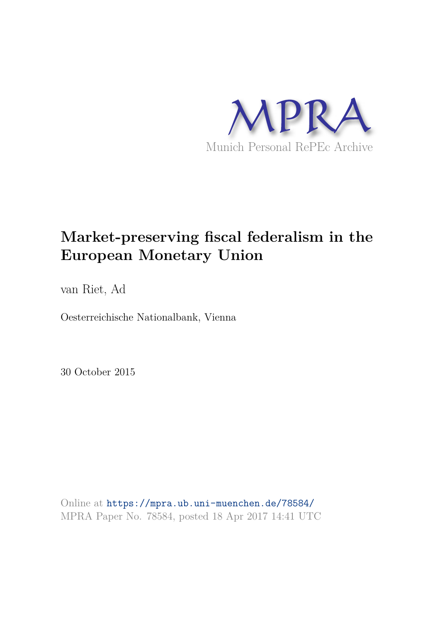

# **Market-preserving fiscal federalism in the European Monetary Union**

van Riet, Ad

Oesterreichische Nationalbank, Vienna

30 October 2015

Online at https://mpra.ub.uni-muenchen.de/78584/ MPRA Paper No. 78584, posted 18 Apr 2017 14:41 UTC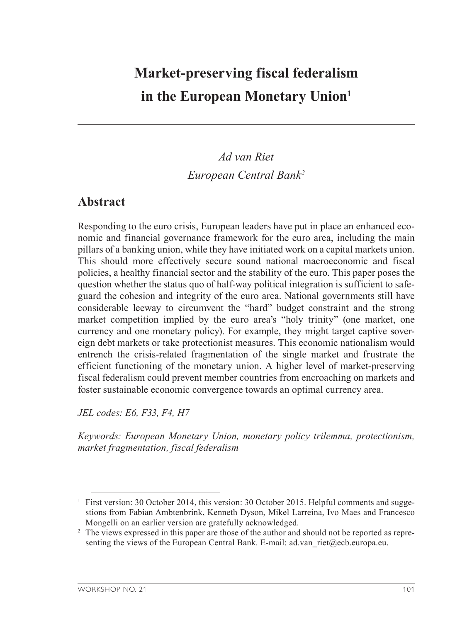# **Market-preserving fiscal federalism in the European Monetary Union<sup>1</sup>**

# *Ad van Riet European Central Bank<sup>2</sup>*

#### **Abstract**

Responding to the euro crisis, European leaders have put in place an enhanced economic and financial governance framework for the euro area, including the main pillars of a banking union, while they have initiated work on a capital markets union. This should more effectively secure sound national macroeconomic and fiscal policies, a healthy financial sector and the stability of the euro. This paper poses the question whether the status quo of half-way political integration is sufficient to safeguard the cohesion and integrity of the euro area. National governments still have considerable leeway to circumvent the "hard" budget constraint and the strong market competition implied by the euro area's "holy trinity" (one market, one currency and one monetary policy). For example, they might target captive sovereign debt markets or take protectionist measures. This economic nationalism would entrench the crisis-related fragmentation of the single market and frustrate the efficient functioning of the monetary union. A higher level of market-preserving fiscal federalism could prevent member countries from encroaching on markets and foster sustainable economic convergence towards an optimal currency area.

*JEL codes: E6, F33, F4, H7*

*Keywords: European Monetary Union, monetary policy trilemma, protectionism, market fragmentation, fiscal federalism*

<sup>&</sup>lt;sup>1</sup> First version: 30 October 2014, this version: 30 October 2015. Helpful comments and suggestions from Fabian Ambtenbrink, Kenneth Dyson, Mikel Larreina, Ivo Maes and Francesco Mongelli on an earlier version are gratefully acknowledged.

<sup>&</sup>lt;sup>2</sup> The views expressed in this paper are those of the author and should not be reported as representing the views of the European Central Bank. E-mail: ad.van\_riet@ecb.europa.eu.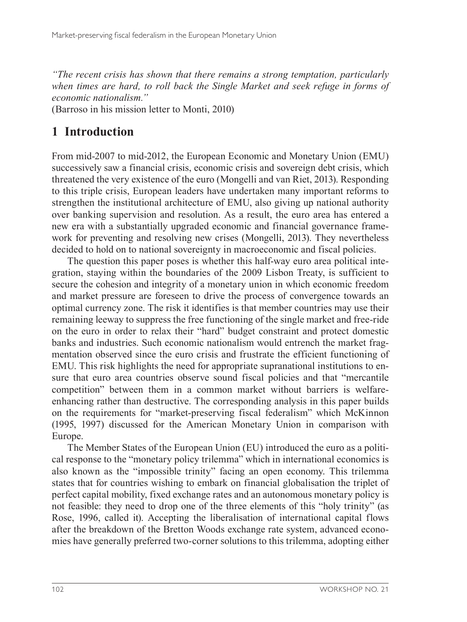*"The recent crisis has shown that there remains a strong temptation, particularly when times are hard, to roll back the Single Market and seek refuge in forms of economic nationalism."* 

(Barroso in his mission letter to Monti, 2010)

# **1 Introduction**

From mid-2007 to mid-2012, the European Economic and Monetary Union (EMU) successively saw a financial crisis, economic crisis and sovereign debt crisis, which threatened the very existence of the euro (Mongelli and van Riet, 2013). Responding to this triple crisis, European leaders have undertaken many important reforms to strengthen the institutional architecture of EMU, also giving up national authority over banking supervision and resolution. As a result, the euro area has entered a new era with a substantially upgraded economic and financial governance framework for preventing and resolving new crises (Mongelli, 2013). They nevertheless decided to hold on to national sovereignty in macroeconomic and fiscal policies.

The question this paper poses is whether this half-way euro area political integration, staying within the boundaries of the 2009 Lisbon Treaty, is sufficient to secure the cohesion and integrity of a monetary union in which economic freedom and market pressure are foreseen to drive the process of convergence towards an optimal currency zone. The risk it identifies is that member countries may use their remaining leeway to suppress the free functioning of the single market and free-ride on the euro in order to relax their "hard" budget constraint and protect domestic banks and industries. Such economic nationalism would entrench the market fragmentation observed since the euro crisis and frustrate the efficient functioning of EMU. This risk highlights the need for appropriate supranational institutions to ensure that euro area countries observe sound fiscal policies and that "mercantile competition" between them in a common market without barriers is welfareenhancing rather than destructive. The corresponding analysis in this paper builds on the requirements for "market-preserving fiscal federalism" which McKinnon (1995, 1997) discussed for the American Monetary Union in comparison with Europe.

The Member States of the European Union (EU) introduced the euro as a political response to the "monetary policy trilemma" which in international economics is also known as the "impossible trinity" facing an open economy. This trilemma states that for countries wishing to embark on financial globalisation the triplet of perfect capital mobility, fixed exchange rates and an autonomous monetary policy is not feasible: they need to drop one of the three elements of this "holy trinity" (as Rose, 1996, called it). Accepting the liberalisation of international capital flows after the breakdown of the Bretton Woods exchange rate system, advanced economies have generally preferred two-corner solutions to this trilemma, adopting either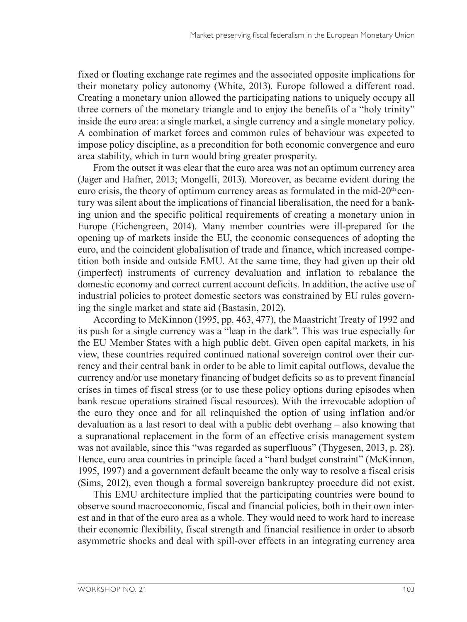fixed or floating exchange rate regimes and the associated opposite implications for their monetary policy autonomy (White, 2013). Europe followed a different road. Creating a monetary union allowed the participating nations to uniquely occupy all three corners of the monetary triangle and to enjoy the benefits of a "holy trinity" inside the euro area: a single market, a single currency and a single monetary policy. A combination of market forces and common rules of behaviour was expected to impose policy discipline, as a precondition for both economic convergence and euro area stability, which in turn would bring greater prosperity.

From the outset it was clear that the euro area was not an optimum currency area (Jager and Hafner, 2013; Mongelli, 2013). Moreover, as became evident during the euro crisis, the theory of optimum currency areas as formulated in the mid-20<sup>th</sup> century was silent about the implications of financial liberalisation, the need for a banking union and the specific political requirements of creating a monetary union in Europe (Eichengreen, 2014). Many member countries were ill-prepared for the opening up of markets inside the EU, the economic consequences of adopting the euro, and the coincident globalisation of trade and finance, which increased competition both inside and outside EMU. At the same time, they had given up their old (imperfect) instruments of currency devaluation and inflation to rebalance the domestic economy and correct current account deficits. In addition, the active use of industrial policies to protect domestic sectors was constrained by EU rules governing the single market and state aid (Bastasin, 2012).

According to McKinnon (1995, pp. 463, 477), the Maastricht Treaty of 1992 and its push for a single currency was a "leap in the dark". This was true especially for the EU Member States with a high public debt. Given open capital markets, in his view, these countries required continued national sovereign control over their currency and their central bank in order to be able to limit capital outflows, devalue the currency and/or use monetary financing of budget deficits so as to prevent financial crises in times of fiscal stress (or to use these policy options during episodes when bank rescue operations strained fiscal resources). With the irrevocable adoption of the euro they once and for all relinquished the option of using inflation and/or devaluation as a last resort to deal with a public debt overhang – also knowing that a supranational replacement in the form of an effective crisis management system was not available, since this "was regarded as superfluous" (Thygesen, 2013, p. 28). Hence, euro area countries in principle faced a "hard budget constraint" (McKinnon, 1995, 1997) and a government default became the only way to resolve a fiscal crisis (Sims, 2012), even though a formal sovereign bankruptcy procedure did not exist.

This EMU architecture implied that the participating countries were bound to observe sound macroeconomic, fiscal and financial policies, both in their own interest and in that of the euro area as a whole. They would need to work hard to increase their economic flexibility, fiscal strength and financial resilience in order to absorb asymmetric shocks and deal with spill-over effects in an integrating currency area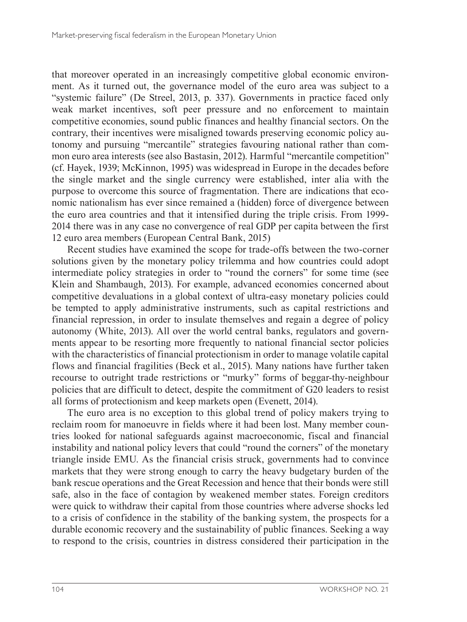that moreover operated in an increasingly competitive global economic environment. As it turned out, the governance model of the euro area was subject to a "systemic failure" (De Streel, 2013, p. 337). Governments in practice faced only weak market incentives, soft peer pressure and no enforcement to maintain competitive economies, sound public finances and healthy financial sectors. On the contrary, their incentives were misaligned towards preserving economic policy autonomy and pursuing "mercantile" strategies favouring national rather than common euro area interests (see also Bastasin, 2012). Harmful "mercantile competition" (cf. Hayek, 1939; McKinnon, 1995) was widespread in Europe in the decades before the single market and the single currency were established, inter alia with the purpose to overcome this source of fragmentation. There are indications that economic nationalism has ever since remained a (hidden) force of divergence between the euro area countries and that it intensified during the triple crisis. From 1999- 2014 there was in any case no convergence of real GDP per capita between the first 12 euro area members (European Central Bank, 2015)

Recent studies have examined the scope for trade-offs between the two-corner solutions given by the monetary policy trilemma and how countries could adopt intermediate policy strategies in order to "round the corners" for some time (see Klein and Shambaugh, 2013). For example, advanced economies concerned about competitive devaluations in a global context of ultra-easy monetary policies could be tempted to apply administrative instruments, such as capital restrictions and financial repression, in order to insulate themselves and regain a degree of policy autonomy (White, 2013). All over the world central banks, regulators and governments appear to be resorting more frequently to national financial sector policies with the characteristics of financial protectionism in order to manage volatile capital flows and financial fragilities (Beck et al., 2015). Many nations have further taken recourse to outright trade restrictions or "murky" forms of beggar-thy-neighbour policies that are difficult to detect, despite the commitment of G20 leaders to resist all forms of protectionism and keep markets open (Evenett, 2014).

The euro area is no exception to this global trend of policy makers trying to reclaim room for manoeuvre in fields where it had been lost. Many member countries looked for national safeguards against macroeconomic, fiscal and financial instability and national policy levers that could "round the corners" of the monetary triangle inside EMU. As the financial crisis struck, governments had to convince markets that they were strong enough to carry the heavy budgetary burden of the bank rescue operations and the Great Recession and hence that their bonds were still safe, also in the face of contagion by weakened member states. Foreign creditors were quick to withdraw their capital from those countries where adverse shocks led to a crisis of confidence in the stability of the banking system, the prospects for a durable economic recovery and the sustainability of public finances. Seeking a way to respond to the crisis, countries in distress considered their participation in the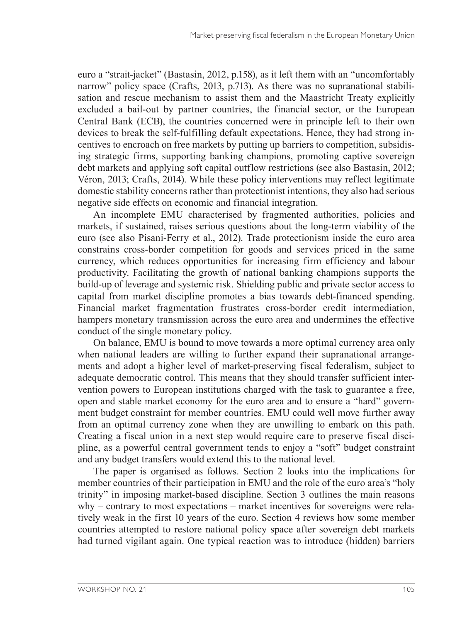euro a "strait-jacket" (Bastasin, 2012, p.158), as it left them with an "uncomfortably narrow" policy space (Crafts, 2013, p.713). As there was no supranational stabilisation and rescue mechanism to assist them and the Maastricht Treaty explicitly excluded a bail-out by partner countries, the financial sector, or the European Central Bank (ECB), the countries concerned were in principle left to their own devices to break the self-fulfilling default expectations. Hence, they had strong incentives to encroach on free markets by putting up barriers to competition, subsidising strategic firms, supporting banking champions, promoting captive sovereign debt markets and applying soft capital outflow restrictions (see also Bastasin, 2012; Véron, 2013; Crafts, 2014). While these policy interventions may reflect legitimate domestic stability concerns rather than protectionist intentions, they also had serious negative side effects on economic and financial integration.

An incomplete EMU characterised by fragmented authorities, policies and markets, if sustained, raises serious questions about the long-term viability of the euro (see also Pisani-Ferry et al., 2012). Trade protectionism inside the euro area constrains cross-border competition for goods and services priced in the same currency, which reduces opportunities for increasing firm efficiency and labour productivity. Facilitating the growth of national banking champions supports the build-up of leverage and systemic risk. Shielding public and private sector access to capital from market discipline promotes a bias towards debt-financed spending. Financial market fragmentation frustrates cross-border credit intermediation, hampers monetary transmission across the euro area and undermines the effective conduct of the single monetary policy.

On balance, EMU is bound to move towards a more optimal currency area only when national leaders are willing to further expand their supranational arrangements and adopt a higher level of market-preserving fiscal federalism, subject to adequate democratic control. This means that they should transfer sufficient intervention powers to European institutions charged with the task to guarantee a free, open and stable market economy for the euro area and to ensure a "hard" government budget constraint for member countries. EMU could well move further away from an optimal currency zone when they are unwilling to embark on this path. Creating a fiscal union in a next step would require care to preserve fiscal discipline, as a powerful central government tends to enjoy a "soft" budget constraint and any budget transfers would extend this to the national level.

The paper is organised as follows. Section 2 looks into the implications for member countries of their participation in EMU and the role of the euro area's "holy trinity" in imposing market-based discipline. Section 3 outlines the main reasons why – contrary to most expectations – market incentives for sovereigns were relatively weak in the first 10 years of the euro. Section 4 reviews how some member countries attempted to restore national policy space after sovereign debt markets had turned vigilant again. One typical reaction was to introduce (hidden) barriers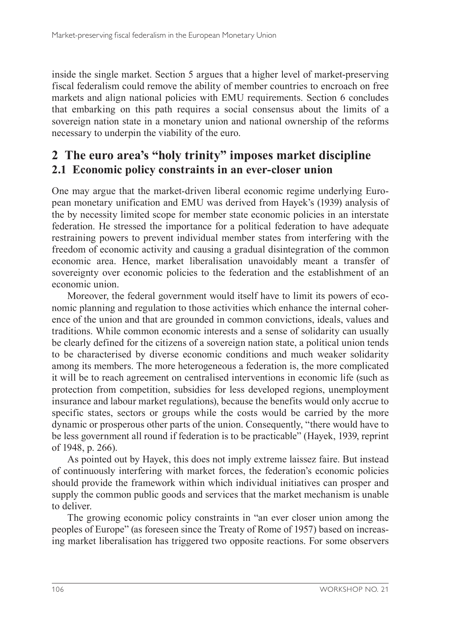inside the single market. Section 5 argues that a higher level of market-preserving fiscal federalism could remove the ability of member countries to encroach on free markets and align national policies with EMU requirements. Section 6 concludes that embarking on this path requires a social consensus about the limits of a sovereign nation state in a monetary union and national ownership of the reforms necessary to underpin the viability of the euro.

#### **2 The euro area's "holy trinity" imposes market discipline 2.1 Economic policy constraints in an ever-closer union**

One may argue that the market-driven liberal economic regime underlying European monetary unification and EMU was derived from Hayek's (1939) analysis of the by necessity limited scope for member state economic policies in an interstate federation. He stressed the importance for a political federation to have adequate restraining powers to prevent individual member states from interfering with the freedom of economic activity and causing a gradual disintegration of the common economic area. Hence, market liberalisation unavoidably meant a transfer of sovereignty over economic policies to the federation and the establishment of an economic union.

Moreover, the federal government would itself have to limit its powers of economic planning and regulation to those activities which enhance the internal coherence of the union and that are grounded in common convictions, ideals, values and traditions. While common economic interests and a sense of solidarity can usually be clearly defined for the citizens of a sovereign nation state, a political union tends to be characterised by diverse economic conditions and much weaker solidarity among its members. The more heterogeneous a federation is, the more complicated it will be to reach agreement on centralised interventions in economic life (such as protection from competition, subsidies for less developed regions, unemployment insurance and labour market regulations), because the benefits would only accrue to specific states, sectors or groups while the costs would be carried by the more dynamic or prosperous other parts of the union. Consequently, "there would have to be less government all round if federation is to be practicable" (Hayek, 1939, reprint of 1948, p. 266).

As pointed out by Hayek, this does not imply extreme laissez faire. But instead of continuously interfering with market forces, the federation's economic policies should provide the framework within which individual initiatives can prosper and supply the common public goods and services that the market mechanism is unable to deliver.

The growing economic policy constraints in "an ever closer union among the peoples of Europe" (as foreseen since the Treaty of Rome of 1957) based on increasing market liberalisation has triggered two opposite reactions. For some observers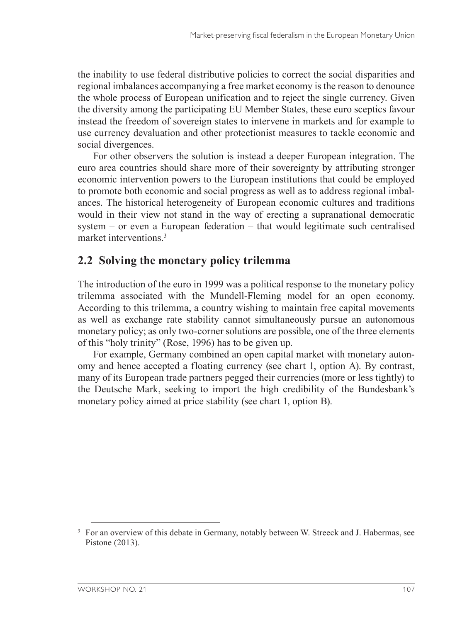the inability to use federal distributive policies to correct the social disparities and regional imbalances accompanying a free market economy is the reason to denounce the whole process of European unification and to reject the single currency. Given the diversity among the participating EU Member States, these euro sceptics favour instead the freedom of sovereign states to intervene in markets and for example to use currency devaluation and other protectionist measures to tackle economic and social divergences.

For other observers the solution is instead a deeper European integration. The euro area countries should share more of their sovereignty by attributing stronger economic intervention powers to the European institutions that could be employed to promote both economic and social progress as well as to address regional imbalances. The historical heterogeneity of European economic cultures and traditions would in their view not stand in the way of erecting a supranational democratic system – or even a European federation – that would legitimate such centralised market interventions<sup>3</sup>

#### **2.2 Solving the monetary policy trilemma**

The introduction of the euro in 1999 was a political response to the monetary policy trilemma associated with the Mundell-Fleming model for an open economy. According to this trilemma, a country wishing to maintain free capital movements as well as exchange rate stability cannot simultaneously pursue an autonomous monetary policy; as only two-corner solutions are possible, one of the three elements of this "holy trinity" (Rose, 1996) has to be given up.

For example, Germany combined an open capital market with monetary autonomy and hence accepted a floating currency (see chart 1, option A). By contrast, many of its European trade partners pegged their currencies (more or less tightly) to the Deutsche Mark, seeking to import the high credibility of the Bundesbank's monetary policy aimed at price stability (see chart 1, option B).

<sup>3</sup>For an overview of this debate in Germany, notably between W. Streeck and J. Habermas, see Pistone (2013).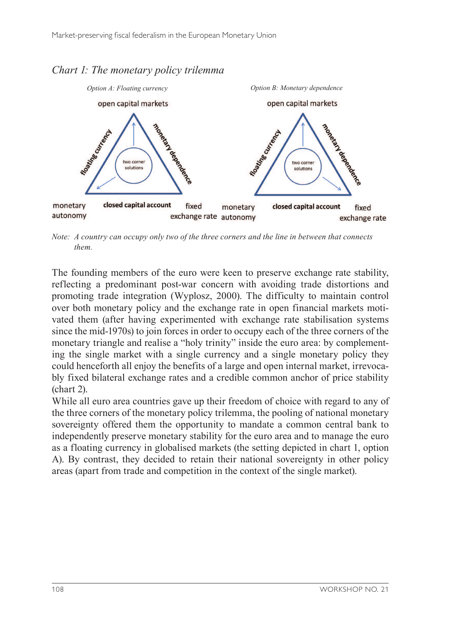



*Note: A country can occupy only two of the three corners and the line in between that connects them.*

The founding members of the euro were keen to preserve exchange rate stability, reflecting a predominant post-war concern with avoiding trade distortions and promoting trade integration (Wyplosz, 2000). The difficulty to maintain control over both monetary policy and the exchange rate in open financial markets motivated them (after having experimented with exchange rate stabilisation systems since the mid-1970s) to join forces in order to occupy each of the three corners of the monetary triangle and realise a "holy trinity" inside the euro area: by complementing the single market with a single currency and a single monetary policy they could henceforth all enjoy the benefits of a large and open internal market, irrevocably fixed bilateral exchange rates and a credible common anchor of price stability (chart 2).

While all euro area countries gave up their freedom of choice with regard to any of the three corners of the monetary policy trilemma, the pooling of national monetary sovereignty offered them the opportunity to mandate a common central bank to independently preserve monetary stability for the euro area and to manage the euro as a floating currency in globalised markets (the setting depicted in chart 1, option A). By contrast, they decided to retain their national sovereignty in other policy areas (apart from trade and competition in the context of the single market).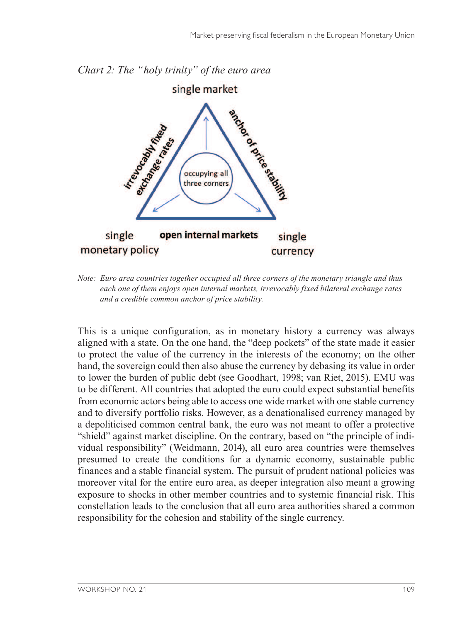

*Chart 2: The "holy trinity" of the euro area*

*Note: Euro area countries together occupied all three corners of the monetary triangle and thus each one of them enjoys open internal markets, irrevocably fixed bilateral exchange rates and a credible common anchor of price stability.*

This is a unique configuration, as in monetary history a currency was always aligned with a state. On the one hand, the "deep pockets" of the state made it easier to protect the value of the currency in the interests of the economy; on the other hand, the sovereign could then also abuse the currency by debasing its value in order to lower the burden of public debt (see Goodhart, 1998; van Riet, 2015). EMU was to be different. All countries that adopted the euro could expect substantial benefits from economic actors being able to access one wide market with one stable currency and to diversify portfolio risks. However, as a denationalised currency managed by a depoliticised common central bank, the euro was not meant to offer a protective "shield" against market discipline. On the contrary, based on "the principle of individual responsibility" (Weidmann, 2014), all euro area countries were themselves presumed to create the conditions for a dynamic economy, sustainable public finances and a stable financial system. The pursuit of prudent national policies was moreover vital for the entire euro area, as deeper integration also meant a growing exposure to shocks in other member countries and to systemic financial risk. This constellation leads to the conclusion that all euro area authorities shared a common responsibility for the cohesion and stability of the single currency.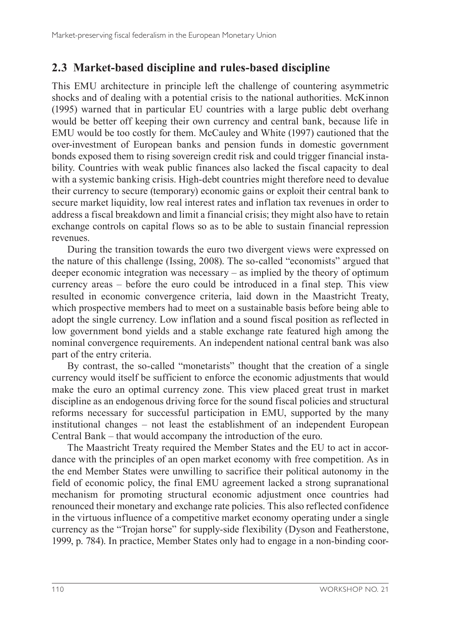#### **2.3 Market-based discipline and rules-based discipline**

This EMU architecture in principle left the challenge of countering asymmetric shocks and of dealing with a potential crisis to the national authorities. McKinnon (1995) warned that in particular EU countries with a large public debt overhang would be better off keeping their own currency and central bank, because life in EMU would be too costly for them. McCauley and White (1997) cautioned that the over-investment of European banks and pension funds in domestic government bonds exposed them to rising sovereign credit risk and could trigger financial instability. Countries with weak public finances also lacked the fiscal capacity to deal with a systemic banking crisis. High-debt countries might therefore need to devalue their currency to secure (temporary) economic gains or exploit their central bank to secure market liquidity, low real interest rates and inflation tax revenues in order to address a fiscal breakdown and limit a financial crisis; they might also have to retain exchange controls on capital flows so as to be able to sustain financial repression revenues.

During the transition towards the euro two divergent views were expressed on the nature of this challenge (Issing, 2008). The so-called "economists" argued that deeper economic integration was necessary – as implied by the theory of optimum currency areas – before the euro could be introduced in a final step. This view resulted in economic convergence criteria, laid down in the Maastricht Treaty, which prospective members had to meet on a sustainable basis before being able to adopt the single currency. Low inflation and a sound fiscal position as reflected in low government bond yields and a stable exchange rate featured high among the nominal convergence requirements. An independent national central bank was also part of the entry criteria.

By contrast, the so-called "monetarists" thought that the creation of a single currency would itself be sufficient to enforce the economic adjustments that would make the euro an optimal currency zone. This view placed great trust in market discipline as an endogenous driving force for the sound fiscal policies and structural reforms necessary for successful participation in EMU, supported by the many institutional changes – not least the establishment of an independent European Central Bank – that would accompany the introduction of the euro.

The Maastricht Treaty required the Member States and the EU to act in accordance with the principles of an open market economy with free competition. As in the end Member States were unwilling to sacrifice their political autonomy in the field of economic policy, the final EMU agreement lacked a strong supranational mechanism for promoting structural economic adjustment once countries had renounced their monetary and exchange rate policies. This also reflected confidence in the virtuous influence of a competitive market economy operating under a single currency as the "Trojan horse" for supply-side flexibility (Dyson and Featherstone, 1999, p. 784). In practice, Member States only had to engage in a non-binding coor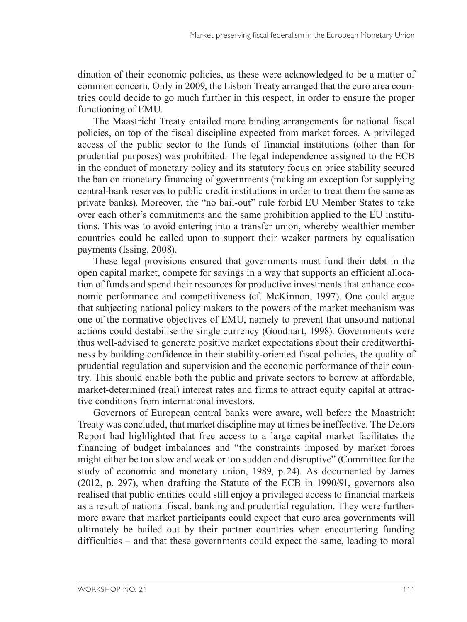dination of their economic policies, as these were acknowledged to be a matter of common concern. Only in 2009, the Lisbon Treaty arranged that the euro area countries could decide to go much further in this respect, in order to ensure the proper functioning of EMU.

The Maastricht Treaty entailed more binding arrangements for national fiscal policies, on top of the fiscal discipline expected from market forces. A privileged access of the public sector to the funds of financial institutions (other than for prudential purposes) was prohibited. The legal independence assigned to the ECB in the conduct of monetary policy and its statutory focus on price stability secured the ban on monetary financing of governments (making an exception for supplying central-bank reserves to public credit institutions in order to treat them the same as private banks). Moreover, the "no bail-out" rule forbid EU Member States to take over each other's commitments and the same prohibition applied to the EU institutions. This was to avoid entering into a transfer union, whereby wealthier member countries could be called upon to support their weaker partners by equalisation payments (Issing, 2008).

These legal provisions ensured that governments must fund their debt in the open capital market, compete for savings in a way that supports an efficient allocation of funds and spend their resources for productive investments that enhance economic performance and competitiveness (cf. McKinnon, 1997). One could argue that subjecting national policy makers to the powers of the market mechanism was one of the normative objectives of EMU, namely to prevent that unsound national actions could destabilise the single currency (Goodhart, 1998). Governments were thus well-advised to generate positive market expectations about their creditworthiness by building confidence in their stability-oriented fiscal policies, the quality of prudential regulation and supervision and the economic performance of their country. This should enable both the public and private sectors to borrow at affordable, market-determined (real) interest rates and firms to attract equity capital at attractive conditions from international investors.

Governors of European central banks were aware, well before the Maastricht Treaty was concluded, that market discipline may at times be ineffective. The Delors Report had highlighted that free access to a large capital market facilitates the financing of budget imbalances and "the constraints imposed by market forces might either be too slow and weak or too sudden and disruptive" (Committee for the study of economic and monetary union, 1989, p. 24). As documented by James (2012, p. 297), when drafting the Statute of the ECB in 1990/91, governors also realised that public entities could still enjoy a privileged access to financial markets as a result of national fiscal, banking and prudential regulation. They were furthermore aware that market participants could expect that euro area governments will ultimately be bailed out by their partner countries when encountering funding difficulties – and that these governments could expect the same, leading to moral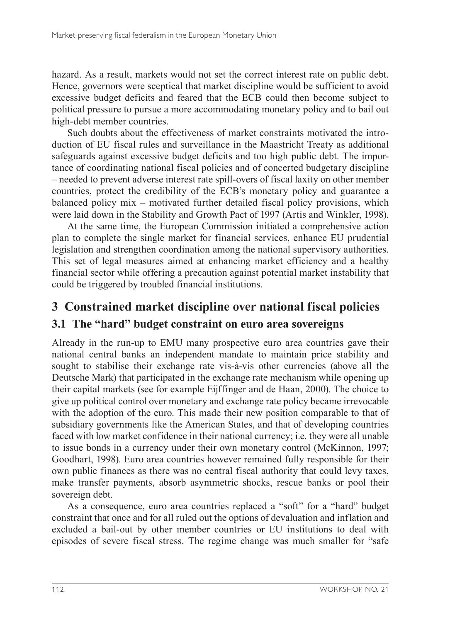hazard. As a result, markets would not set the correct interest rate on public debt. Hence, governors were sceptical that market discipline would be sufficient to avoid excessive budget deficits and feared that the ECB could then become subject to political pressure to pursue a more accommodating monetary policy and to bail out high-debt member countries.

Such doubts about the effectiveness of market constraints motivated the introduction of EU fiscal rules and surveillance in the Maastricht Treaty as additional safeguards against excessive budget deficits and too high public debt. The importance of coordinating national fiscal policies and of concerted budgetary discipline – needed to prevent adverse interest rate spill-overs of fiscal laxity on other member countries, protect the credibility of the ECB's monetary policy and guarantee a balanced policy mix – motivated further detailed fiscal policy provisions, which were laid down in the Stability and Growth Pact of 1997 (Artis and Winkler, 1998).

At the same time, the European Commission initiated a comprehensive action plan to complete the single market for financial services, enhance EU prudential legislation and strengthen coordination among the national supervisory authorities. This set of legal measures aimed at enhancing market efficiency and a healthy financial sector while offering a precaution against potential market instability that could be triggered by troubled financial institutions.

#### **3 Constrained market discipline over national fiscal policies**

#### **3.1 The "hard" budget constraint on euro area sovereigns**

Already in the run-up to EMU many prospective euro area countries gave their national central banks an independent mandate to maintain price stability and sought to stabilise their exchange rate vis-à-vis other currencies (above all the Deutsche Mark) that participated in the exchange rate mechanism while opening up their capital markets (see for example Eijffinger and de Haan, 2000). The choice to give up political control over monetary and exchange rate policy became irrevocable with the adoption of the euro. This made their new position comparable to that of subsidiary governments like the American States, and that of developing countries faced with low market confidence in their national currency; i.e. they were all unable to issue bonds in a currency under their own monetary control (McKinnon, 1997; Goodhart, 1998). Euro area countries however remained fully responsible for their own public finances as there was no central fiscal authority that could levy taxes, make transfer payments, absorb asymmetric shocks, rescue banks or pool their sovereign debt.

As a consequence, euro area countries replaced a "soft" for a "hard" budget constraint that once and for all ruled out the options of devaluation and inflation and excluded a bail-out by other member countries or EU institutions to deal with episodes of severe fiscal stress. The regime change was much smaller for "safe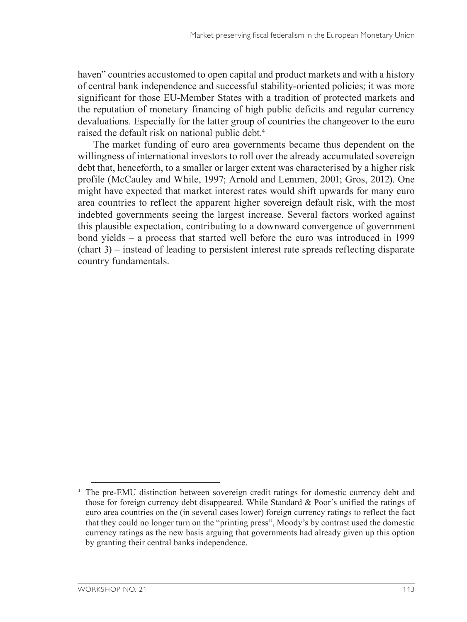haven" countries accustomed to open capital and product markets and with a history of central bank independence and successful stability-oriented policies; it was more significant for those EU-Member States with a tradition of protected markets and the reputation of monetary financing of high public deficits and regular currency devaluations. Especially for the latter group of countries the changeover to the euro raised the default risk on national public debt.<sup>4</sup>

The market funding of euro area governments became thus dependent on the willingness of international investors to roll over the already accumulated sovereign debt that, henceforth, to a smaller or larger extent was characterised by a higher risk profile (McCauley and While, 1997; Arnold and Lemmen, 2001; Gros, 2012). One might have expected that market interest rates would shift upwards for many euro area countries to reflect the apparent higher sovereign default risk, with the most indebted governments seeing the largest increase. Several factors worked against this plausible expectation, contributing to a downward convergence of government bond yields – a process that started well before the euro was introduced in 1999 (chart 3) – instead of leading to persistent interest rate spreads reflecting disparate country fundamentals.

<sup>4</sup>The pre-EMU distinction between sovereign credit ratings for domestic currency debt and those for foreign currency debt disappeared. While Standard & Poor's unified the ratings of euro area countries on the (in several cases lower) foreign currency ratings to reflect the fact that they could no longer turn on the "printing press", Moody's by contrast used the domestic currency ratings as the new basis arguing that governments had already given up this option by granting their central banks independence.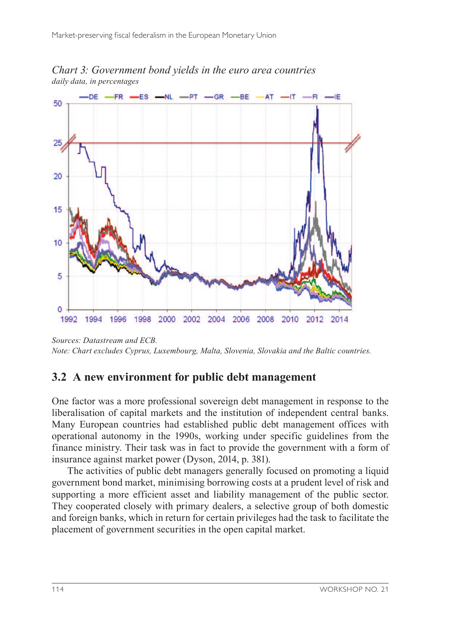

*Chart 3: Government bond yields in the euro area countries daily data, in percentages*

#### **3.2 A new environment for public debt management**

One factor was a more professional sovereign debt management in response to the liberalisation of capital markets and the institution of independent central banks. Many European countries had established public debt management offices with operational autonomy in the 1990s, working under specific guidelines from the finance ministry. Their task was in fact to provide the government with a form of insurance against market power (Dyson, 2014, p. 381).

The activities of public debt managers generally focused on promoting a liquid government bond market, minimising borrowing costs at a prudent level of risk and supporting a more efficient asset and liability management of the public sector. They cooperated closely with primary dealers, a selective group of both domestic and foreign banks, which in return for certain privileges had the task to facilitate the placement of government securities in the open capital market.

*Sources: Datastream and ECB. Note: Chart excludes Cyprus, Luxembourg, Malta, Slovenia, Slovakia and the Baltic countries.*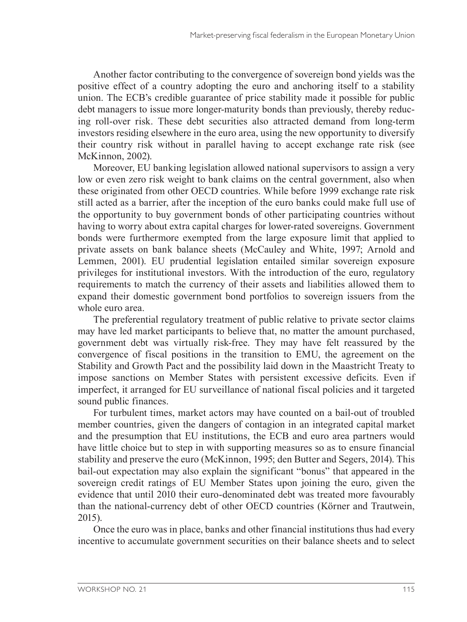Another factor contributing to the convergence of sovereign bond yields was the positive effect of a country adopting the euro and anchoring itself to a stability union. The ECB's credible guarantee of price stability made it possible for public debt managers to issue more longer-maturity bonds than previously, thereby reducing roll-over risk. These debt securities also attracted demand from long-term investors residing elsewhere in the euro area, using the new opportunity to diversify their country risk without in parallel having to accept exchange rate risk (see McKinnon, 2002).

Moreover, EU banking legislation allowed national supervisors to assign a very low or even zero risk weight to bank claims on the central government, also when these originated from other OECD countries. While before 1999 exchange rate risk still acted as a barrier, after the inception of the euro banks could make full use of the opportunity to buy government bonds of other participating countries without having to worry about extra capital charges for lower-rated sovereigns. Government bonds were furthermore exempted from the large exposure limit that applied to private assets on bank balance sheets (McCauley and White, 1997; Arnold and Lemmen, 2001). EU prudential legislation entailed similar sovereign exposure privileges for institutional investors. With the introduction of the euro, regulatory requirements to match the currency of their assets and liabilities allowed them to expand their domestic government bond portfolios to sovereign issuers from the whole euro area.

The preferential regulatory treatment of public relative to private sector claims may have led market participants to believe that, no matter the amount purchased, government debt was virtually risk-free. They may have felt reassured by the convergence of fiscal positions in the transition to EMU, the agreement on the Stability and Growth Pact and the possibility laid down in the Maastricht Treaty to impose sanctions on Member States with persistent excessive deficits. Even if imperfect, it arranged for EU surveillance of national fiscal policies and it targeted sound public finances.

For turbulent times, market actors may have counted on a bail-out of troubled member countries, given the dangers of contagion in an integrated capital market and the presumption that EU institutions, the ECB and euro area partners would have little choice but to step in with supporting measures so as to ensure financial stability and preserve the euro (McKinnon, 1995; den Butter and Segers, 2014). This bail-out expectation may also explain the significant "bonus" that appeared in the sovereign credit ratings of EU Member States upon joining the euro, given the evidence that until 2010 their euro-denominated debt was treated more favourably than the national-currency debt of other OECD countries (Körner and Trautwein, 2015).

Once the euro was in place, banks and other financial institutions thus had every incentive to accumulate government securities on their balance sheets and to select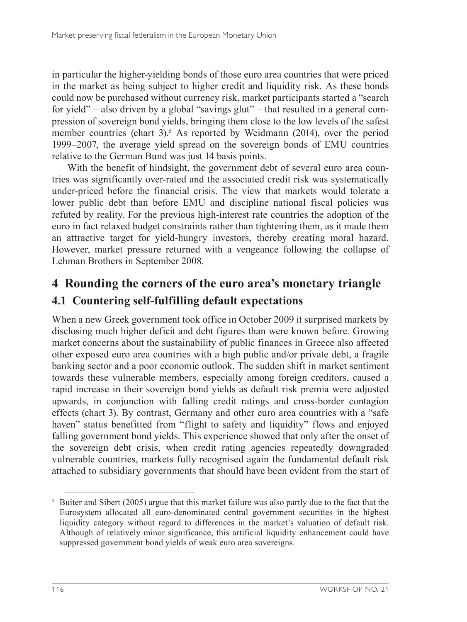in particular the higher-yielding bonds of those euro area countries that were priced in the market as being subject to higher credit and liquidity risk. As these bonds could now be purchased without currency risk, market participants started a "search for yield" – also driven by a global "savings glut" – that resulted in a general compression of sovereign bond yields, bringing them close to the low levels of the safest member countries (chart  $3$ ).<sup>5</sup> As reported by Weidmann (2014), over the period 1999–2007, the average yield spread on the sovereign bonds of EMU countries relative to the German Bund was just 14 basis points.

With the benefit of hindsight, the government debt of several euro area countries was significantly over-rated and the associated credit risk was systematically under-priced before the financial crisis. The view that markets would tolerate a lower public debt than before EMU and discipline national fiscal policies was refuted by reality. For the previous high-interest rate countries the adoption of the euro in fact relaxed budget constraints rather than tightening them, as it made them an attractive target for yield-hungry investors, thereby creating moral hazard. However, market pressure returned with a vengeance following the collapse of Lehman Brothers in September 2008.

# **4 Rounding the corners of the euro area's monetary triangle**

#### **4.1 Countering self-fulfilling default expectations**

When a new Greek government took office in October 2009 it surprised markets by disclosing much higher deficit and debt figures than were known before. Growing market concerns about the sustainability of public finances in Greece also affected other exposed euro area countries with a high public and/or private debt, a fragile banking sector and a poor economic outlook. The sudden shift in market sentiment towards these vulnerable members, especially among foreign creditors, caused a rapid increase in their sovereign bond yields as default risk premia were adjusted upwards, in conjunction with falling credit ratings and cross-border contagion effects (chart 3). By contrast, Germany and other euro area countries with a "safe haven" status benefitted from "flight to safety and liquidity" flows and enjoyed falling government bond yields. This experience showed that only after the onset of the sovereign debt crisis, when credit rating agencies repeatedly downgraded vulnerable countries, markets fully recognised again the fundamental default risk attached to subsidiary governments that should have been evident from the start of

<sup>&</sup>lt;sup>5</sup> Buiter and Sibert (2005) argue that this market failure was also partly due to the fact that the Eurosystem allocated all euro-denominated central government securities in the highest liquidity category without regard to differences in the market's valuation of default risk. Although of relatively minor significance, this artificial liquidity enhancement could have suppressed government bond yields of weak euro area sovereigns.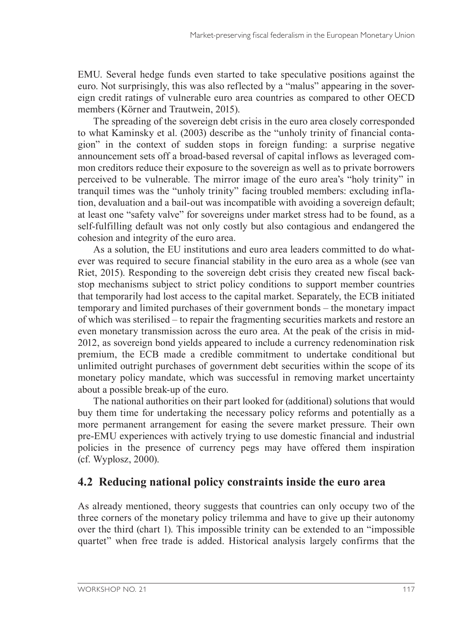EMU. Several hedge funds even started to take speculative positions against the euro. Not surprisingly, this was also reflected by a "malus" appearing in the sovereign credit ratings of vulnerable euro area countries as compared to other OECD members (Körner and Trautwein, 2015).

The spreading of the sovereign debt crisis in the euro area closely corresponded to what Kaminsky et al. (2003) describe as the "unholy trinity of financial contagion" in the context of sudden stops in foreign funding: a surprise negative announcement sets off a broad-based reversal of capital inflows as leveraged common creditors reduce their exposure to the sovereign as well as to private borrowers perceived to be vulnerable. The mirror image of the euro area's "holy trinity" in tranquil times was the "unholy trinity" facing troubled members: excluding inflation, devaluation and a bail-out was incompatible with avoiding a sovereign default; at least one "safety valve" for sovereigns under market stress had to be found, as a self-fulfilling default was not only costly but also contagious and endangered the cohesion and integrity of the euro area.

As a solution, the EU institutions and euro area leaders committed to do whatever was required to secure financial stability in the euro area as a whole (see van Riet, 2015). Responding to the sovereign debt crisis they created new fiscal backstop mechanisms subject to strict policy conditions to support member countries that temporarily had lost access to the capital market. Separately, the ECB initiated temporary and limited purchases of their government bonds – the monetary impact of which was sterilised – to repair the fragmenting securities markets and restore an even monetary transmission across the euro area. At the peak of the crisis in mid-2012, as sovereign bond yields appeared to include a currency redenomination risk premium, the ECB made a credible commitment to undertake conditional but unlimited outright purchases of government debt securities within the scope of its monetary policy mandate, which was successful in removing market uncertainty about a possible break-up of the euro.

The national authorities on their part looked for (additional) solutions that would buy them time for undertaking the necessary policy reforms and potentially as a more permanent arrangement for easing the severe market pressure. Their own pre-EMU experiences with actively trying to use domestic financial and industrial policies in the presence of currency pegs may have offered them inspiration (cf. Wyplosz, 2000).

#### **4.2 Reducing national policy constraints inside the euro area**

As already mentioned, theory suggests that countries can only occupy two of the three corners of the monetary policy trilemma and have to give up their autonomy over the third (chart 1). This impossible trinity can be extended to an "impossible quartet" when free trade is added. Historical analysis largely confirms that the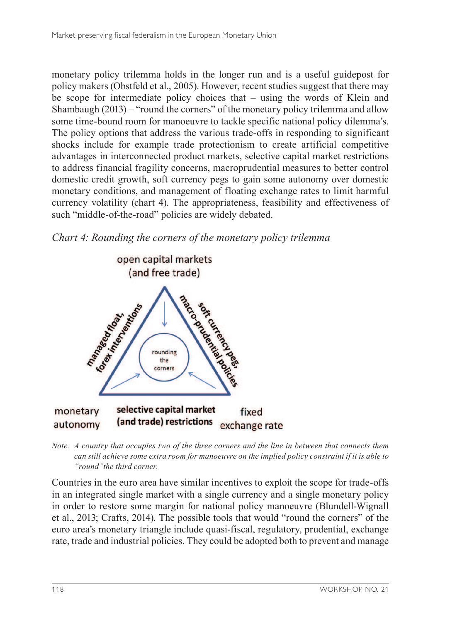monetary policy trilemma holds in the longer run and is a useful guidepost for policy makers (Obstfeld et al., 2005). However, recent studies suggest that there may be scope for intermediate policy choices that – using the words of Klein and Shambaugh (2013) – "round the corners" of the monetary policy trilemma and allow some time-bound room for manoeuvre to tackle specific national policy dilemma's. The policy options that address the various trade-offs in responding to significant shocks include for example trade protectionism to create artificial competitive advantages in interconnected product markets, selective capital market restrictions to address financial fragility concerns, macroprudential measures to better control domestic credit growth, soft currency pegs to gain some autonomy over domestic monetary conditions, and management of floating exchange rates to limit harmful currency volatility (chart 4). The appropriateness, feasibility and effectiveness of such "middle-of-the-road" policies are widely debated.





*Note: A country that occupies two of the three corners and the line in between that connects them can still achieve some extra room for manoeuvre on the implied policy constraint if it is able to "round"the third corner.*

Countries in the euro area have similar incentives to exploit the scope for trade-offs in an integrated single market with a single currency and a single monetary policy in order to restore some margin for national policy manoeuvre (Blundell-Wignall et al., 2013; Crafts, 2014). The possible tools that would "round the corners" of the euro area's monetary triangle include quasi-fiscal, regulatory, prudential, exchange rate, trade and industrial policies. They could be adopted both to prevent and manage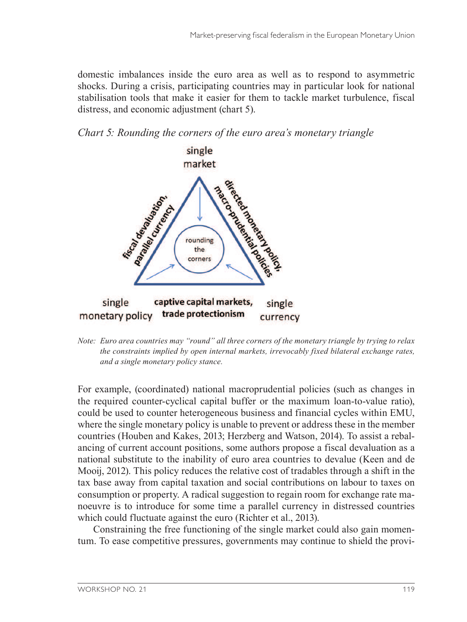domestic imbalances inside the euro area as well as to respond to asymmetric shocks. During a crisis, participating countries may in particular look for national stabilisation tools that make it easier for them to tackle market turbulence, fiscal distress, and economic adjustment (chart 5).

*Chart 5: Rounding the corners of the euro area's monetary triangle*



*Note: Euro area countries may "round" all three corners of the monetary triangle by trying to relax the constraints implied by open internal markets, irrevocably fixed bilateral exchange rates, and a single monetary policy stance.*

For example, (coordinated) national macroprudential policies (such as changes in the required counter-cyclical capital buffer or the maximum loan-to-value ratio), could be used to counter heterogeneous business and financial cycles within EMU, where the single monetary policy is unable to prevent or address these in the member countries (Houben and Kakes, 2013; Herzberg and Watson, 2014). To assist a rebalancing of current account positions, some authors propose a fiscal devaluation as a national substitute to the inability of euro area countries to devalue (Keen and de Mooij, 2012). This policy reduces the relative cost of tradables through a shift in the tax base away from capital taxation and social contributions on labour to taxes on consumption or property. A radical suggestion to regain room for exchange rate manoeuvre is to introduce for some time a parallel currency in distressed countries which could fluctuate against the euro (Richter et al., 2013).

Constraining the free functioning of the single market could also gain momentum. To ease competitive pressures, governments may continue to shield the provi-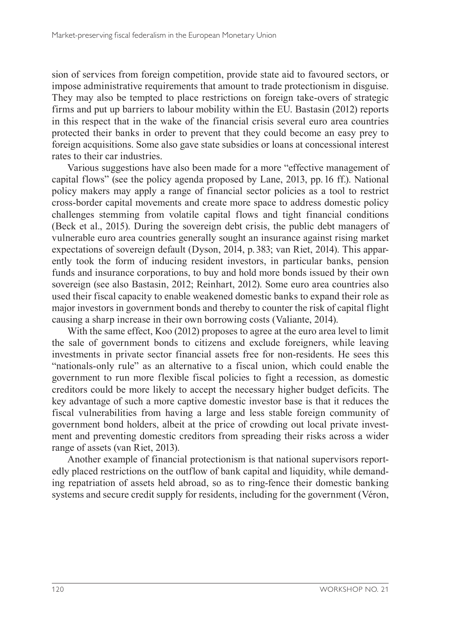sion of services from foreign competition, provide state aid to favoured sectors, or impose administrative requirements that amount to trade protectionism in disguise. They may also be tempted to place restrictions on foreign take-overs of strategic firms and put up barriers to labour mobility within the EU. Bastasin (2012) reports in this respect that in the wake of the financial crisis several euro area countries protected their banks in order to prevent that they could become an easy prey to foreign acquisitions. Some also gave state subsidies or loans at concessional interest rates to their car industries.

Various suggestions have also been made for a more "effective management of capital flows" (see the policy agenda proposed by Lane, 2013, pp. 16 ff.). National policy makers may apply a range of financial sector policies as a tool to restrict cross-border capital movements and create more space to address domestic policy challenges stemming from volatile capital flows and tight financial conditions (Beck et al., 2015). During the sovereign debt crisis, the public debt managers of vulnerable euro area countries generally sought an insurance against rising market expectations of sovereign default (Dyson, 2014, p. 383; van Riet, 2014). This apparently took the form of inducing resident investors, in particular banks, pension funds and insurance corporations, to buy and hold more bonds issued by their own sovereign (see also Bastasin, 2012; Reinhart, 2012). Some euro area countries also used their fiscal capacity to enable weakened domestic banks to expand their role as major investors in government bonds and thereby to counter the risk of capital flight causing a sharp increase in their own borrowing costs (Valiante, 2014).

With the same effect, Koo (2012) proposes to agree at the euro area level to limit the sale of government bonds to citizens and exclude foreigners, while leaving investments in private sector financial assets free for non-residents. He sees this "nationals-only rule" as an alternative to a fiscal union, which could enable the government to run more flexible fiscal policies to fight a recession, as domestic creditors could be more likely to accept the necessary higher budget deficits. The key advantage of such a more captive domestic investor base is that it reduces the fiscal vulnerabilities from having a large and less stable foreign community of government bond holders, albeit at the price of crowding out local private investment and preventing domestic creditors from spreading their risks across a wider range of assets (van Riet, 2013).

Another example of financial protectionism is that national supervisors reportedly placed restrictions on the outflow of bank capital and liquidity, while demanding repatriation of assets held abroad, so as to ring-fence their domestic banking systems and secure credit supply for residents, including for the government (Véron,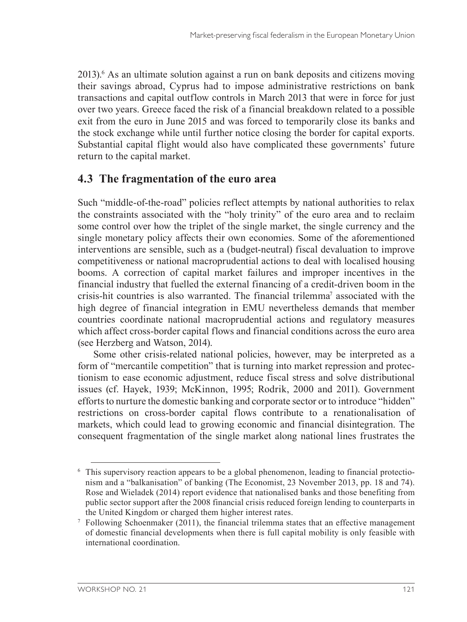2013).<sup>6</sup> As an ultimate solution against a run on bank deposits and citizens moving their savings abroad, Cyprus had to impose administrative restrictions on bank transactions and capital outflow controls in March 2013 that were in force for just over two years. Greece faced the risk of a financial breakdown related to a possible exit from the euro in June 2015 and was forced to temporarily close its banks and the stock exchange while until further notice closing the border for capital exports. Substantial capital flight would also have complicated these governments' future return to the capital market.

#### **4.3 The fragmentation of the euro area**

Such "middle-of-the-road" policies reflect attempts by national authorities to relax the constraints associated with the "holy trinity" of the euro area and to reclaim some control over how the triplet of the single market, the single currency and the single monetary policy affects their own economies. Some of the aforementioned interventions are sensible, such as a (budget-neutral) fiscal devaluation to improve competitiveness or national macroprudential actions to deal with localised housing booms. A correction of capital market failures and improper incentives in the financial industry that fuelled the external financing of a credit-driven boom in the crisis-hit countries is also warranted. The financial trilemma<sup>7</sup> associated with the high degree of financial integration in EMU nevertheless demands that member countries coordinate national macroprudential actions and regulatory measures which affect cross-border capital flows and financial conditions across the euro area (see Herzberg and Watson, 2014).

Some other crisis-related national policies, however, may be interpreted as a form of "mercantile competition" that is turning into market repression and protectionism to ease economic adjustment, reduce fiscal stress and solve distributional issues (cf. Hayek, 1939; McKinnon, 1995; Rodrik, 2000 and 2011). Government efforts to nurture the domestic banking and corporate sector or to introduce "hidden" restrictions on cross-border capital flows contribute to a renationalisation of markets, which could lead to growing economic and financial disintegration. The consequent fragmentation of the single market along national lines frustrates the

<sup>6</sup> This supervisory reaction appears to be a global phenomenon, leading to financial protectionism and a "balkanisation" of banking (The Economist, 23 November 2013, pp. 18 and 74). Rose and Wieladek (2014) report evidence that nationalised banks and those benefiting from public sector support after the 2008 financial crisis reduced foreign lending to counterparts in the United Kingdom or charged them higher interest rates.

<sup>7</sup>Following Schoenmaker (2011), the financial trilemma states that an effective management of domestic financial developments when there is full capital mobility is only feasible with international coordination.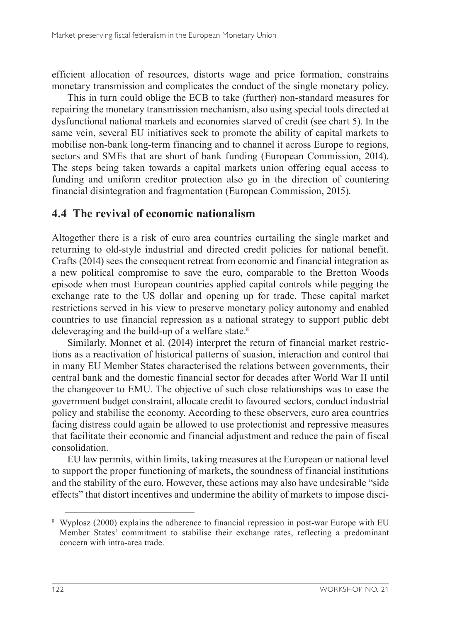efficient allocation of resources, distorts wage and price formation, constrains monetary transmission and complicates the conduct of the single monetary policy.

This in turn could oblige the ECB to take (further) non-standard measures for repairing the monetary transmission mechanism, also using special tools directed at dysfunctional national markets and economies starved of credit (see chart 5). In the same vein, several EU initiatives seek to promote the ability of capital markets to mobilise non-bank long-term financing and to channel it across Europe to regions, sectors and SMEs that are short of bank funding (European Commission, 2014). The steps being taken towards a capital markets union offering equal access to funding and uniform creditor protection also go in the direction of countering financial disintegration and fragmentation (European Commission, 2015).

#### **4.4 The revival of economic nationalism**

Altogether there is a risk of euro area countries curtailing the single market and returning to old-style industrial and directed credit policies for national benefit. Crafts (2014) sees the consequent retreat from economic and financial integration as a new political compromise to save the euro, comparable to the Bretton Woods episode when most European countries applied capital controls while pegging the exchange rate to the US dollar and opening up for trade. These capital market restrictions served in his view to preserve monetary policy autonomy and enabled countries to use financial repression as a national strategy to support public debt deleveraging and the build-up of a welfare state.<sup>8</sup>

Similarly, Monnet et al. (2014) interpret the return of financial market restrictions as a reactivation of historical patterns of suasion, interaction and control that in many EU Member States characterised the relations between governments, their central bank and the domestic financial sector for decades after World War II until the changeover to EMU. The objective of such close relationships was to ease the government budget constraint, allocate credit to favoured sectors, conduct industrial policy and stabilise the economy. According to these observers, euro area countries facing distress could again be allowed to use protectionist and repressive measures that facilitate their economic and financial adjustment and reduce the pain of fiscal consolidation.

EU law permits, within limits, taking measures at the European or national level to support the proper functioning of markets, the soundness of financial institutions and the stability of the euro. However, these actions may also have undesirable "side effects" that distort incentives and undermine the ability of markets to impose disci-

<sup>8</sup>Wyplosz (2000) explains the adherence to financial repression in post-war Europe with EU Member States' commitment to stabilise their exchange rates, reflecting a predominant concern with intra-area trade.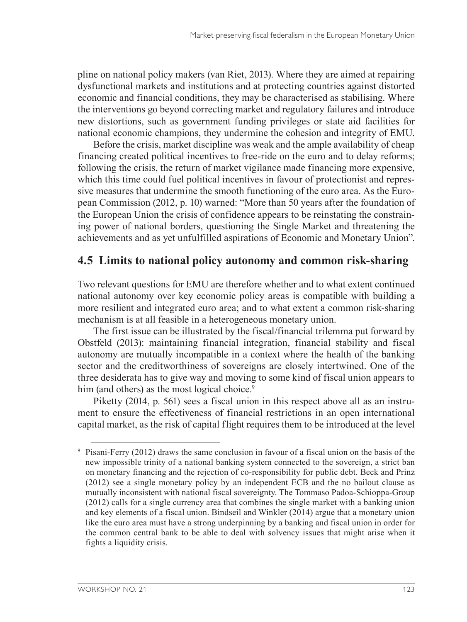pline on national policy makers (van Riet, 2013). Where they are aimed at repairing dysfunctional markets and institutions and at protecting countries against distorted economic and financial conditions, they may be characterised as stabilising. Where the interventions go beyond correcting market and regulatory failures and introduce new distortions, such as government funding privileges or state aid facilities for national economic champions, they undermine the cohesion and integrity of EMU.

Before the crisis, market discipline was weak and the ample availability of cheap financing created political incentives to free-ride on the euro and to delay reforms; following the crisis, the return of market vigilance made financing more expensive, which this time could fuel political incentives in favour of protectionist and repressive measures that undermine the smooth functioning of the euro area. As the European Commission (2012, p. 10) warned: "More than 50 years after the foundation of the European Union the crisis of confidence appears to be reinstating the constraining power of national borders, questioning the Single Market and threatening the achievements and as yet unfulfilled aspirations of Economic and Monetary Union".

#### **4.5 Limits to national policy autonomy and common risk-sharing**

Two relevant questions for EMU are therefore whether and to what extent continued national autonomy over key economic policy areas is compatible with building a more resilient and integrated euro area; and to what extent a common risk-sharing mechanism is at all feasible in a heterogeneous monetary union.

The first issue can be illustrated by the fiscal/financial trilemma put forward by Obstfeld (2013): maintaining financial integration, financial stability and fiscal autonomy are mutually incompatible in a context where the health of the banking sector and the creditworthiness of sovereigns are closely intertwined. One of the three desiderata has to give way and moving to some kind of fiscal union appears to him (and others) as the most logical choice.<sup>9</sup>

Piketty (2014, p. 561) sees a fiscal union in this respect above all as an instrument to ensure the effectiveness of financial restrictions in an open international capital market, as the risk of capital flight requires them to be introduced at the level

<sup>&</sup>lt;sup>9</sup> Pisani-Ferry (2012) draws the same conclusion in favour of a fiscal union on the basis of the new impossible trinity of a national banking system connected to the sovereign, a strict ban on monetary financing and the rejection of co-responsibility for public debt. Beck and Prinz (2012) see a single monetary policy by an independent ECB and the no bailout clause as mutually inconsistent with national fiscal sovereignty. The Tommaso Padoa-Schioppa-Group (2012) calls for a single currency area that combines the single market with a banking union and key elements of a fiscal union. Bindseil and Winkler (2014) argue that a monetary union like the euro area must have a strong underpinning by a banking and fiscal union in order for the common central bank to be able to deal with solvency issues that might arise when it fights a liquidity crisis.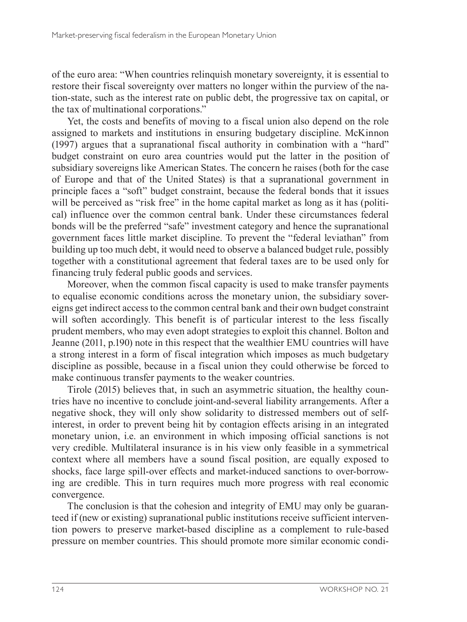of the euro area: "When countries relinquish monetary sovereignty, it is essential to restore their fiscal sovereignty over matters no longer within the purview of the nation-state, such as the interest rate on public debt, the progressive tax on capital, or the tax of multinational corporations."

Yet, the costs and benefits of moving to a fiscal union also depend on the role assigned to markets and institutions in ensuring budgetary discipline. McKinnon (1997) argues that a supranational fiscal authority in combination with a "hard" budget constraint on euro area countries would put the latter in the position of subsidiary sovereigns like American States. The concern he raises (both for the case of Europe and that of the United States) is that a supranational government in principle faces a "soft" budget constraint, because the federal bonds that it issues will be perceived as "risk free" in the home capital market as long as it has (political) influence over the common central bank. Under these circumstances federal bonds will be the preferred "safe" investment category and hence the supranational government faces little market discipline. To prevent the "federal leviathan" from building up too much debt, it would need to observe a balanced budget rule, possibly together with a constitutional agreement that federal taxes are to be used only for financing truly federal public goods and services.

Moreover, when the common fiscal capacity is used to make transfer payments to equalise economic conditions across the monetary union, the subsidiary sovereigns get indirect access to the common central bank and their own budget constraint will soften accordingly. This benefit is of particular interest to the less fiscally prudent members, who may even adopt strategies to exploit this channel. Bolton and Jeanne (2011, p.190) note in this respect that the wealthier EMU countries will have a strong interest in a form of fiscal integration which imposes as much budgetary discipline as possible, because in a fiscal union they could otherwise be forced to make continuous transfer payments to the weaker countries.

Tirole (2015) believes that, in such an asymmetric situation, the healthy countries have no incentive to conclude joint-and-several liability arrangements. After a negative shock, they will only show solidarity to distressed members out of selfinterest, in order to prevent being hit by contagion effects arising in an integrated monetary union, i.e. an environment in which imposing official sanctions is not very credible. Multilateral insurance is in his view only feasible in a symmetrical context where all members have a sound fiscal position, are equally exposed to shocks, face large spill-over effects and market-induced sanctions to over-borrowing are credible. This in turn requires much more progress with real economic convergence.

The conclusion is that the cohesion and integrity of EMU may only be guaranteed if (new or existing) supranational public institutions receive sufficient intervention powers to preserve market-based discipline as a complement to rule-based pressure on member countries. This should promote more similar economic condi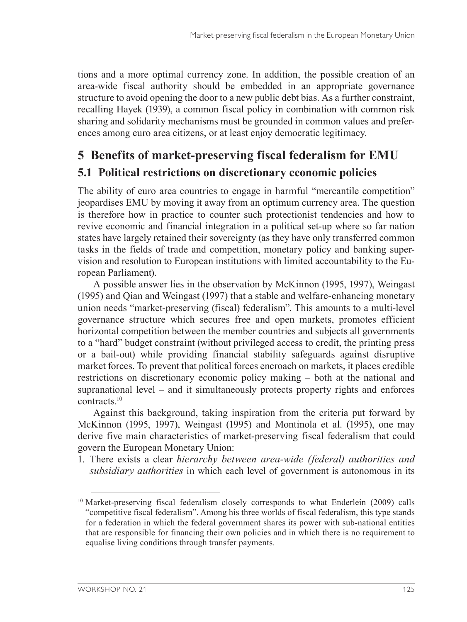tions and a more optimal currency zone. In addition, the possible creation of an area-wide fiscal authority should be embedded in an appropriate governance structure to avoid opening the door to a new public debt bias. As a further constraint, recalling Hayek (1939), a common fiscal policy in combination with common risk sharing and solidarity mechanisms must be grounded in common values and preferences among euro area citizens, or at least enjoy democratic legitimacy.

# **5 Benefits of market-preserving fiscal federalism for EMU**

#### **5.1 Political restrictions on discretionary economic policies**

The ability of euro area countries to engage in harmful "mercantile competition" jeopardises EMU by moving it away from an optimum currency area. The question is therefore how in practice to counter such protectionist tendencies and how to revive economic and financial integration in a political set-up where so far nation states have largely retained their sovereignty (as they have only transferred common tasks in the fields of trade and competition, monetary policy and banking supervision and resolution to European institutions with limited accountability to the European Parliament).

A possible answer lies in the observation by McKinnon (1995, 1997), Weingast (1995) and Qian and Weingast (1997) that a stable and welfare-enhancing monetary union needs "market-preserving (fiscal) federalism". This amounts to a multi-level governance structure which secures free and open markets, promotes efficient horizontal competition between the member countries and subjects all governments to a "hard" budget constraint (without privileged access to credit, the printing press or a bail-out) while providing financial stability safeguards against disruptive market forces. To prevent that political forces encroach on markets, it places credible restrictions on discretionary economic policy making – both at the national and supranational level – and it simultaneously protects property rights and enforces contracts.<sup>10</sup>

Against this background, taking inspiration from the criteria put forward by McKinnon (1995, 1997), Weingast (1995) and Montinola et al. (1995), one may derive five main characteristics of market-preserving fiscal federalism that could govern the European Monetary Union:

1. There exists a clear *hierarchy between area-wide (federal) authorities and subsidiary authorities* in which each level of government is autonomous in its

<sup>&</sup>lt;sup>10</sup> Market-preserving fiscal federalism closely corresponds to what Enderlein (2009) calls "competitive fiscal federalism". Among his three worlds of fiscal federalism, this type stands for a federation in which the federal government shares its power with sub-national entities that are responsible for financing their own policies and in which there is no requirement to equalise living conditions through transfer payments.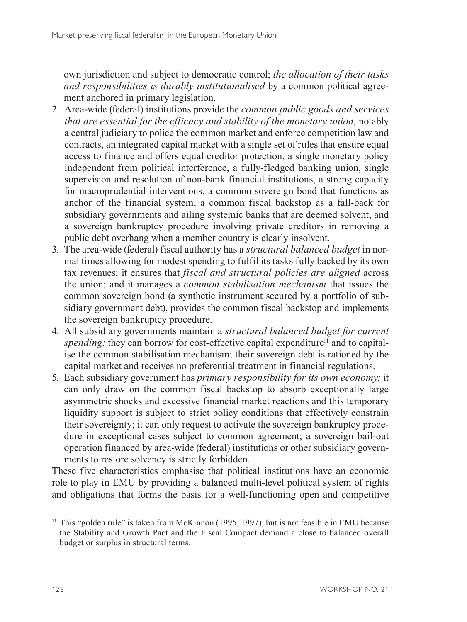own jurisdiction and subject to democratic control; *the allocation of their tasks and responsibilities is durably institutionalised* by a common political agreement anchored in primary legislation.

- 2. Area-wide (federal) institutions provide the *common public goods and services that are essential for the efficacy and stability of the monetary union,* notably a central judiciary to police the common market and enforce competition law and contracts, an integrated capital market with a single set of rules that ensure equal access to finance and offers equal creditor protection, a single monetary policy independent from political interference, a fully-fledged banking union, single supervision and resolution of non-bank financial institutions, a strong capacity for macroprudential interventions, a common sovereign bond that functions as anchor of the financial system, a common fiscal backstop as a fall-back for subsidiary governments and ailing systemic banks that are deemed solvent, and a sovereign bankruptcy procedure involving private creditors in removing a public debt overhang when a member country is clearly insolvent.
- 3. The area-wide (federal) fiscal authority has a *structural balanced budget* in normal times allowing for modest spending to fulfil its tasks fully backed by its own tax revenues; it ensures that *fiscal and structural policies are aligned* across the union; and it manages a *common stabilisation mechanism* that issues the common sovereign bond (a synthetic instrument secured by a portfolio of subsidiary government debt), provides the common fiscal backstop and implements the sovereign bankruptcy procedure.
- 4. All subsidiary governments maintain a *structural balanced budget for current spending*; they can borrow for cost-effective capital expenditure<sup>11</sup> and to capitalise the common stabilisation mechanism; their sovereign debt is rationed by the capital market and receives no preferential treatment in financial regulations.
- 5. Each subsidiary government has *primary responsibility for its own economy;* it can only draw on the common fiscal backstop to absorb exceptionally large asymmetric shocks and excessive financial market reactions and this temporary liquidity support is subject to strict policy conditions that effectively constrain their sovereignty; it can only request to activate the sovereign bankruptcy procedure in exceptional cases subject to common agreement; a sovereign bail-out operation financed by area-wide (federal) institutions or other subsidiary governments to restore solvency is strictly forbidden.

These five characteristics emphasise that political institutions have an economic role to play in EMU by providing a balanced multi-level political system of rights and obligations that forms the basis for a well-functioning open and competitive

<sup>&</sup>lt;sup>11</sup> This "golden rule" is taken from McKinnon (1995, 1997), but is not feasible in EMU because the Stability and Growth Pact and the Fiscal Compact demand a close to balanced overall budget or surplus in structural terms.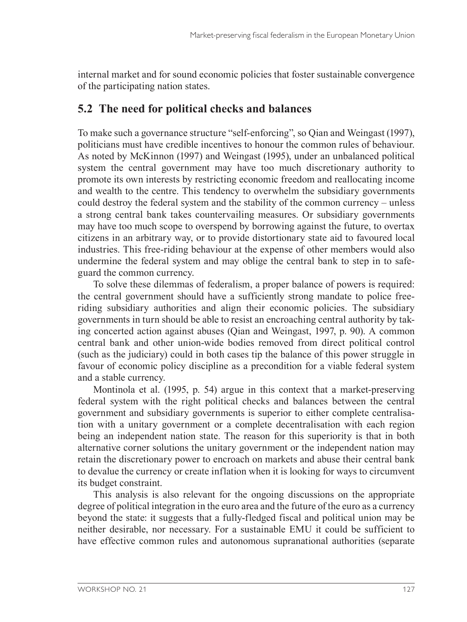internal market and for sound economic policies that foster sustainable convergence of the participating nation states.

#### **5.2 The need for political checks and balances**

To make such a governance structure "self-enforcing", so Qian and Weingast (1997), politicians must have credible incentives to honour the common rules of behaviour. As noted by McKinnon (1997) and Weingast (1995), under an unbalanced political system the central government may have too much discretionary authority to promote its own interests by restricting economic freedom and reallocating income and wealth to the centre. This tendency to overwhelm the subsidiary governments could destroy the federal system and the stability of the common currency – unless a strong central bank takes countervailing measures. Or subsidiary governments may have too much scope to overspend by borrowing against the future, to overtax citizens in an arbitrary way, or to provide distortionary state aid to favoured local industries. This free-riding behaviour at the expense of other members would also undermine the federal system and may oblige the central bank to step in to safeguard the common currency.

To solve these dilemmas of federalism, a proper balance of powers is required: the central government should have a sufficiently strong mandate to police freeriding subsidiary authorities and align their economic policies. The subsidiary governments in turn should be able to resist an encroaching central authority by taking concerted action against abuses (Qian and Weingast, 1997, p. 90). A common central bank and other union-wide bodies removed from direct political control (such as the judiciary) could in both cases tip the balance of this power struggle in favour of economic policy discipline as a precondition for a viable federal system and a stable currency.

Montinola et al. (1995, p. 54) argue in this context that a market-preserving federal system with the right political checks and balances between the central government and subsidiary governments is superior to either complete centralisation with a unitary government or a complete decentralisation with each region being an independent nation state. The reason for this superiority is that in both alternative corner solutions the unitary government or the independent nation may retain the discretionary power to encroach on markets and abuse their central bank to devalue the currency or create inflation when it is looking for ways to circumvent its budget constraint.

This analysis is also relevant for the ongoing discussions on the appropriate degree of political integration in the euro area and the future of the euro as a currency beyond the state: it suggests that a fully-fledged fiscal and political union may be neither desirable, nor necessary. For a sustainable EMU it could be sufficient to have effective common rules and autonomous supranational authorities (separate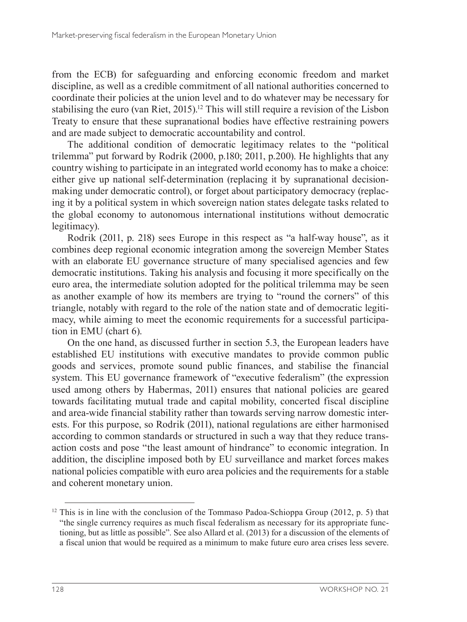from the ECB) for safeguarding and enforcing economic freedom and market discipline, as well as a credible commitment of all national authorities concerned to coordinate their policies at the union level and to do whatever may be necessary for stabilising the euro (van Riet, 2015).<sup>12</sup> This will still require a revision of the Lisbon Treaty to ensure that these supranational bodies have effective restraining powers and are made subject to democratic accountability and control.

The additional condition of democratic legitimacy relates to the "political trilemma" put forward by Rodrik (2000, p.180; 2011, p.200). He highlights that any country wishing to participate in an integrated world economy has to make a choice: either give up national self-determination (replacing it by supranational decisionmaking under democratic control), or forget about participatory democracy (replacing it by a political system in which sovereign nation states delegate tasks related to the global economy to autonomous international institutions without democratic legitimacy).

Rodrik (2011, p. 218) sees Europe in this respect as "a half-way house", as it combines deep regional economic integration among the sovereign Member States with an elaborate EU governance structure of many specialised agencies and few democratic institutions. Taking his analysis and focusing it more specifically on the euro area, the intermediate solution adopted for the political trilemma may be seen as another example of how its members are trying to "round the corners" of this triangle, notably with regard to the role of the nation state and of democratic legitimacy, while aiming to meet the economic requirements for a successful participation in EMU (chart 6).

On the one hand, as discussed further in section 5.3, the European leaders have established EU institutions with executive mandates to provide common public goods and services, promote sound public finances, and stabilise the financial system. This EU governance framework of "executive federalism" (the expression used among others by Habermas, 2011) ensures that national policies are geared towards facilitating mutual trade and capital mobility, concerted fiscal discipline and area-wide financial stability rather than towards serving narrow domestic interests. For this purpose, so Rodrik (2011), national regulations are either harmonised according to common standards or structured in such a way that they reduce transaction costs and pose "the least amount of hindrance" to economic integration. In addition, the discipline imposed both by EU surveillance and market forces makes national policies compatible with euro area policies and the requirements for a stable and coherent monetary union.

<sup>&</sup>lt;sup>12</sup> This is in line with the conclusion of the Tommaso Padoa-Schioppa Group (2012, p. 5) that "the single currency requires as much fiscal federalism as necessary for its appropriate functioning, but as little as possible". See also Allard et al. (2013) for a discussion of the elements of a fiscal union that would be required as a minimum to make future euro area crises less severe.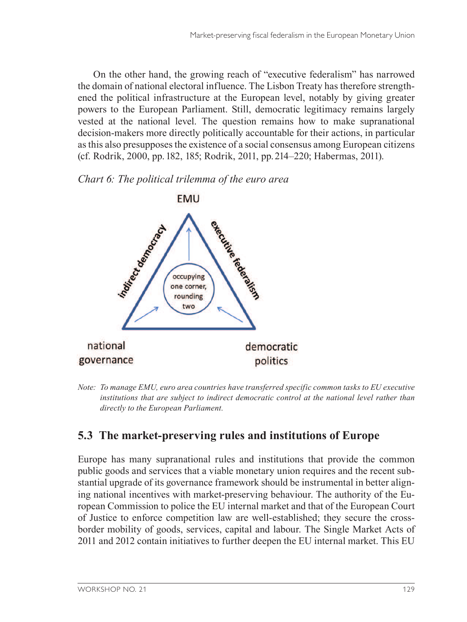On the other hand, the growing reach of "executive federalism" has narrowed the domain of national electoral influence. The Lisbon Treaty has therefore strengthened the political infrastructure at the European level, notably by giving greater powers to the European Parliament. Still, democratic legitimacy remains largely vested at the national level. The question remains how to make supranational decision-makers more directly politically accountable for their actions, in particular as this also presupposes the existence of a social consensus among European citizens (cf. Rodrik, 2000, pp. 182, 185; Rodrik, 2011, pp. 214–220; Habermas, 2011).

#### *Chart 6: The political trilemma of the euro area*



*Note: To manage EMU, euro area countries have transferred specific common tasks to EU executive institutions that are subject to indirect democratic control at the national level rather than directly to the European Parliament.*

#### **5.3 The market-preserving rules and institutions of Europe**

Europe has many supranational rules and institutions that provide the common public goods and services that a viable monetary union requires and the recent substantial upgrade of its governance framework should be instrumental in better aligning national incentives with market-preserving behaviour. The authority of the European Commission to police the EU internal market and that of the European Court of Justice to enforce competition law are well-established; they secure the crossborder mobility of goods, services, capital and labour. The Single Market Acts of 2011 and 2012 contain initiatives to further deepen the EU internal market. This EU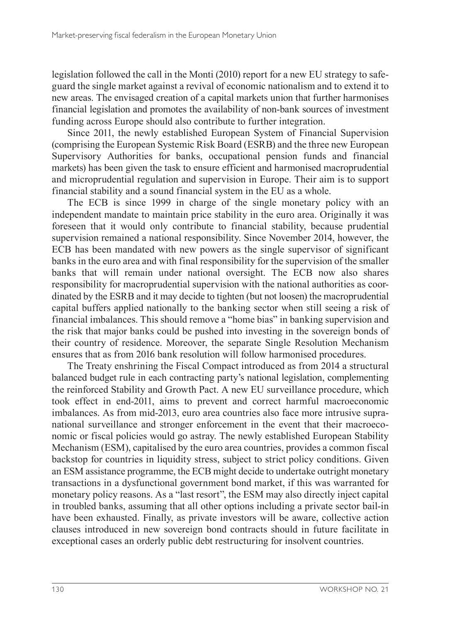legislation followed the call in the Monti (2010) report for a new EU strategy to safeguard the single market against a revival of economic nationalism and to extend it to new areas. The envisaged creation of a capital markets union that further harmonises financial legislation and promotes the availability of non-bank sources of investment funding across Europe should also contribute to further integration.

Since 2011, the newly established European System of Financial Supervision (comprising the European Systemic Risk Board (ESRB) and the three new European Supervisory Authorities for banks, occupational pension funds and financial markets) has been given the task to ensure efficient and harmonised macroprudential and microprudential regulation and supervision in Europe. Their aim is to support financial stability and a sound financial system in the EU as a whole.

The ECB is since 1999 in charge of the single monetary policy with an independent mandate to maintain price stability in the euro area. Originally it was foreseen that it would only contribute to financial stability, because prudential supervision remained a national responsibility. Since November 2014, however, the ECB has been mandated with new powers as the single supervisor of significant banks in the euro area and with final responsibility for the supervision of the smaller banks that will remain under national oversight. The ECB now also shares responsibility for macroprudential supervision with the national authorities as coordinated by the ESRB and it may decide to tighten (but not loosen) the macroprudential capital buffers applied nationally to the banking sector when still seeing a risk of financial imbalances. This should remove a "home bias" in banking supervision and the risk that major banks could be pushed into investing in the sovereign bonds of their country of residence. Moreover, the separate Single Resolution Mechanism ensures that as from 2016 bank resolution will follow harmonised procedures.

The Treaty enshrining the Fiscal Compact introduced as from 2014 a structural balanced budget rule in each contracting party's national legislation, complementing the reinforced Stability and Growth Pact. A new EU surveillance procedure, which took effect in end-2011, aims to prevent and correct harmful macroeconomic imbalances. As from mid-2013, euro area countries also face more intrusive supranational surveillance and stronger enforcement in the event that their macroeconomic or fiscal policies would go astray. The newly established European Stability Mechanism (ESM), capitalised by the euro area countries, provides a common fiscal backstop for countries in liquidity stress, subject to strict policy conditions. Given an ESM assistance programme, the ECB might decide to undertake outright monetary transactions in a dysfunctional government bond market, if this was warranted for monetary policy reasons. As a "last resort", the ESM may also directly inject capital in troubled banks, assuming that all other options including a private sector bail-in have been exhausted. Finally, as private investors will be aware, collective action clauses introduced in new sovereign bond contracts should in future facilitate in exceptional cases an orderly public debt restructuring for insolvent countries.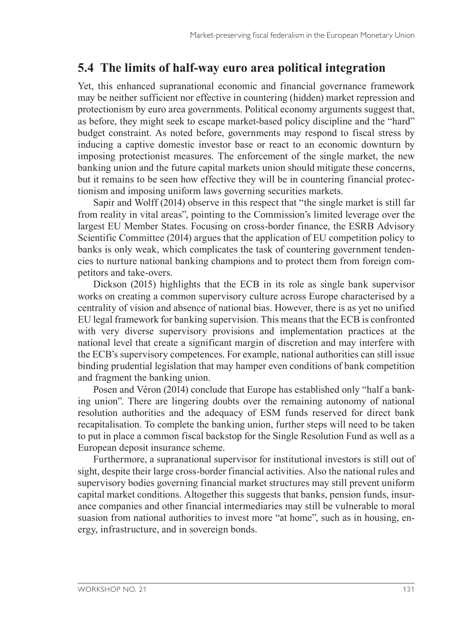### **5.4 The limits of half-way euro area political integration**

Yet, this enhanced supranational economic and financial governance framework may be neither sufficient nor effective in countering (hidden) market repression and protectionism by euro area governments. Political economy arguments suggest that, as before, they might seek to escape market-based policy discipline and the "hard" budget constraint. As noted before, governments may respond to fiscal stress by inducing a captive domestic investor base or react to an economic downturn by imposing protectionist measures. The enforcement of the single market, the new banking union and the future capital markets union should mitigate these concerns, but it remains to be seen how effective they will be in countering financial protectionism and imposing uniform laws governing securities markets.

Sapir and Wolff (2014) observe in this respect that "the single market is still far from reality in vital areas", pointing to the Commission's limited leverage over the largest EU Member States. Focusing on cross-border finance, the ESRB Advisory Scientific Committee (2014) argues that the application of EU competition policy to banks is only weak, which complicates the task of countering government tendencies to nurture national banking champions and to protect them from foreign competitors and take-overs.

Dickson (2015) highlights that the ECB in its role as single bank supervisor works on creating a common supervisory culture across Europe characterised by a centrality of vision and absence of national bias. However, there is as yet no unified EU legal framework for banking supervision. This means that the ECB is confronted with very diverse supervisory provisions and implementation practices at the national level that create a significant margin of discretion and may interfere with the ECB's supervisory competences. For example, national authorities can still issue binding prudential legislation that may hamper even conditions of bank competition and fragment the banking union.

Posen and Véron (2014) conclude that Europe has established only "half a banking union". There are lingering doubts over the remaining autonomy of national resolution authorities and the adequacy of ESM funds reserved for direct bank recapitalisation. To complete the banking union, further steps will need to be taken to put in place a common fiscal backstop for the Single Resolution Fund as well as a European deposit insurance scheme.

Furthermore, a supranational supervisor for institutional investors is still out of sight, despite their large cross-border financial activities. Also the national rules and supervisory bodies governing financial market structures may still prevent uniform capital market conditions. Altogether this suggests that banks, pension funds, insurance companies and other financial intermediaries may still be vulnerable to moral suasion from national authorities to invest more "at home", such as in housing, energy, infrastructure, and in sovereign bonds.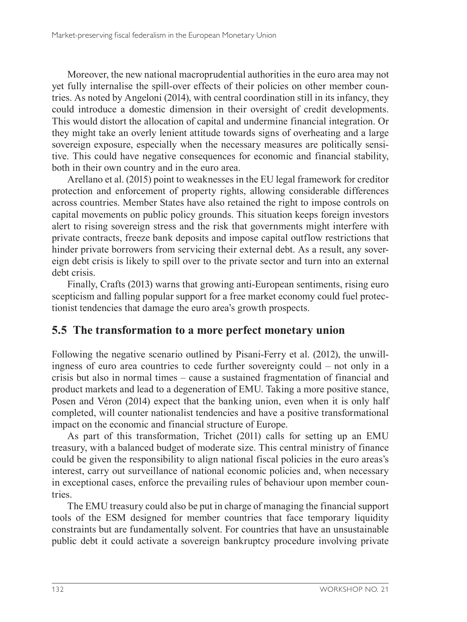Moreover, the new national macroprudential authorities in the euro area may not yet fully internalise the spill-over effects of their policies on other member countries. As noted by Angeloni (2014), with central coordination still in its infancy, they could introduce a domestic dimension in their oversight of credit developments. This would distort the allocation of capital and undermine financial integration. Or they might take an overly lenient attitude towards signs of overheating and a large sovereign exposure, especially when the necessary measures are politically sensitive. This could have negative consequences for economic and financial stability, both in their own country and in the euro area.

Arellano et al. (2015) point to weaknesses in the EU legal framework for creditor protection and enforcement of property rights, allowing considerable differences across countries. Member States have also retained the right to impose controls on capital movements on public policy grounds. This situation keeps foreign investors alert to rising sovereign stress and the risk that governments might interfere with private contracts, freeze bank deposits and impose capital outflow restrictions that hinder private borrowers from servicing their external debt. As a result, any sovereign debt crisis is likely to spill over to the private sector and turn into an external debt crisis.

Finally, Crafts (2013) warns that growing anti-European sentiments, rising euro scepticism and falling popular support for a free market economy could fuel protectionist tendencies that damage the euro area's growth prospects.

#### **5.5 The transformation to a more perfect monetary union**

Following the negative scenario outlined by Pisani-Ferry et al. (2012), the unwillingness of euro area countries to cede further sovereignty could – not only in a crisis but also in normal times – cause a sustained fragmentation of financial and product markets and lead to a degeneration of EMU. Taking a more positive stance, Posen and Véron (2014) expect that the banking union, even when it is only half completed, will counter nationalist tendencies and have a positive transformational impact on the economic and financial structure of Europe.

As part of this transformation, Trichet (2011) calls for setting up an EMU treasury, with a balanced budget of moderate size. This central ministry of finance could be given the responsibility to align national fiscal policies in the euro areas's interest, carry out surveillance of national economic policies and, when necessary in exceptional cases, enforce the prevailing rules of behaviour upon member countries.

The EMU treasury could also be put in charge of managing the financial support tools of the ESM designed for member countries that face temporary liquidity constraints but are fundamentally solvent. For countries that have an unsustainable public debt it could activate a sovereign bankruptcy procedure involving private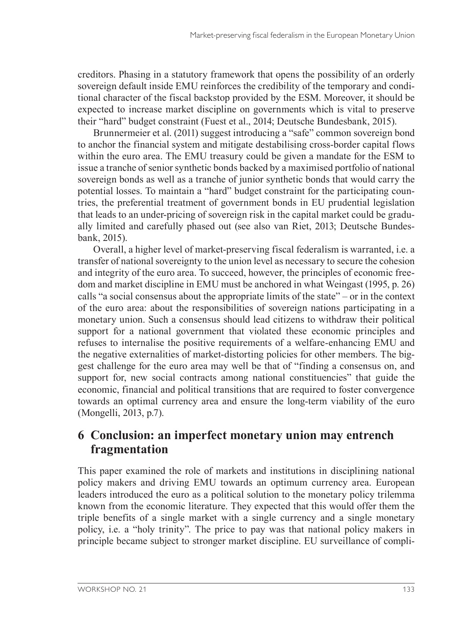creditors. Phasing in a statutory framework that opens the possibility of an orderly sovereign default inside EMU reinforces the credibility of the temporary and conditional character of the fiscal backstop provided by the ESM. Moreover, it should be expected to increase market discipline on governments which is vital to preserve their "hard" budget constraint (Fuest et al., 2014; Deutsche Bundesbank, 2015).

Brunnermeier et al. (2011) suggest introducing a "safe" common sovereign bond to anchor the financial system and mitigate destabilising cross-border capital flows within the euro area. The EMU treasury could be given a mandate for the ESM to issue a tranche of senior synthetic bonds backed by a maximised portfolio of national sovereign bonds as well as a tranche of junior synthetic bonds that would carry the potential losses. To maintain a "hard" budget constraint for the participating countries, the preferential treatment of government bonds in EU prudential legislation that leads to an under-pricing of sovereign risk in the capital market could be gradually limited and carefully phased out (see also van Riet, 2013; Deutsche Bundesbank, 2015).

Overall, a higher level of market-preserving fiscal federalism is warranted, i.e. a transfer of national sovereignty to the union level as necessary to secure the cohesion and integrity of the euro area. To succeed, however, the principles of economic freedom and market discipline in EMU must be anchored in what Weingast (1995, p. 26) calls "a social consensus about the appropriate limits of the state" – or in the context of the euro area: about the responsibilities of sovereign nations participating in a monetary union. Such a consensus should lead citizens to withdraw their political support for a national government that violated these economic principles and refuses to internalise the positive requirements of a welfare-enhancing EMU and the negative externalities of market-distorting policies for other members. The biggest challenge for the euro area may well be that of "finding a consensus on, and support for, new social contracts among national constituencies" that guide the economic, financial and political transitions that are required to foster convergence towards an optimal currency area and ensure the long-term viability of the euro (Mongelli, 2013, p.7).

#### **6 Conclusion: an imperfect monetary union may entrench fragmentation**

This paper examined the role of markets and institutions in disciplining national policy makers and driving EMU towards an optimum currency area. European leaders introduced the euro as a political solution to the monetary policy trilemma known from the economic literature. They expected that this would offer them the triple benefits of a single market with a single currency and a single monetary policy, i.e. a "holy trinity". The price to pay was that national policy makers in principle became subject to stronger market discipline. EU surveillance of compli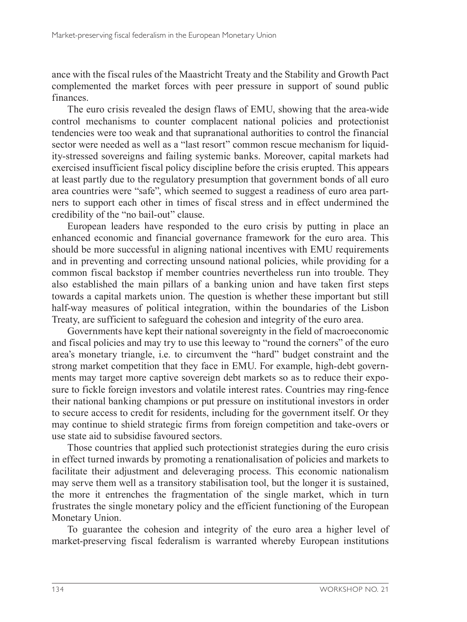ance with the fiscal rules of the Maastricht Treaty and the Stability and Growth Pact complemented the market forces with peer pressure in support of sound public finances.

The euro crisis revealed the design flaws of EMU, showing that the area-wide control mechanisms to counter complacent national policies and protectionist tendencies were too weak and that supranational authorities to control the financial sector were needed as well as a "last resort" common rescue mechanism for liquidity-stressed sovereigns and failing systemic banks. Moreover, capital markets had exercised insufficient fiscal policy discipline before the crisis erupted. This appears at least partly due to the regulatory presumption that government bonds of all euro area countries were "safe", which seemed to suggest a readiness of euro area partners to support each other in times of fiscal stress and in effect undermined the credibility of the "no bail-out" clause.

European leaders have responded to the euro crisis by putting in place an enhanced economic and financial governance framework for the euro area. This should be more successful in aligning national incentives with EMU requirements and in preventing and correcting unsound national policies, while providing for a common fiscal backstop if member countries nevertheless run into trouble. They also established the main pillars of a banking union and have taken first steps towards a capital markets union. The question is whether these important but still half-way measures of political integration, within the boundaries of the Lisbon Treaty, are sufficient to safeguard the cohesion and integrity of the euro area.

Governments have kept their national sovereignty in the field of macroeconomic and fiscal policies and may try to use this leeway to "round the corners" of the euro area's monetary triangle, i.e. to circumvent the "hard" budget constraint and the strong market competition that they face in EMU. For example, high-debt governments may target more captive sovereign debt markets so as to reduce their exposure to fickle foreign investors and volatile interest rates. Countries may ring-fence their national banking champions or put pressure on institutional investors in order to secure access to credit for residents, including for the government itself. Or they may continue to shield strategic firms from foreign competition and take-overs or use state aid to subsidise favoured sectors.

Those countries that applied such protectionist strategies during the euro crisis in effect turned inwards by promoting a renationalisation of policies and markets to facilitate their adjustment and deleveraging process. This economic nationalism may serve them well as a transitory stabilisation tool, but the longer it is sustained, the more it entrenches the fragmentation of the single market, which in turn frustrates the single monetary policy and the efficient functioning of the European Monetary Union.

To guarantee the cohesion and integrity of the euro area a higher level of market-preserving fiscal federalism is warranted whereby European institutions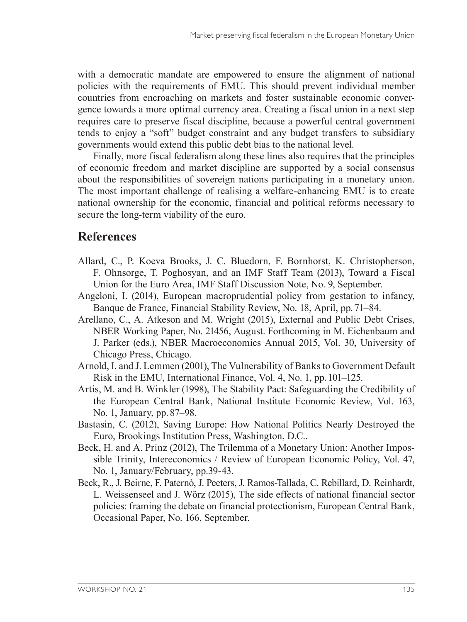with a democratic mandate are empowered to ensure the alignment of national policies with the requirements of EMU. This should prevent individual member countries from encroaching on markets and foster sustainable economic convergence towards a more optimal currency area. Creating a fiscal union in a next step requires care to preserve fiscal discipline, because a powerful central government tends to enjoy a "soft" budget constraint and any budget transfers to subsidiary governments would extend this public debt bias to the national level.

Finally, more fiscal federalism along these lines also requires that the principles of economic freedom and market discipline are supported by a social consensus about the responsibilities of sovereign nations participating in a monetary union. The most important challenge of realising a welfare-enhancing EMU is to create national ownership for the economic, financial and political reforms necessary to secure the long-term viability of the euro.

### **References**

- Allard, C., P. Koeva Brooks, J. C. Bluedorn, F. Bornhorst, K. Christopherson, F. Ohnsorge, T. Poghosyan, and an IMF Staff Team (2013), Toward a Fiscal Union for the Euro Area, IMF Staff Discussion Note, No. 9, September.
- Angeloni, I. (2014), European macroprudential policy from gestation to infancy, Banque de France, Financial Stability Review, No. 18, April, pp. 71–84.
- Arellano, C., A. Atkeson and M. Wright (2015), External and Public Debt Crises, NBER Working Paper, No. 21456, August. Forthcoming in M. Eichenbaum and J. Parker (eds.), NBER Macroeconomics Annual 2015, Vol. 30, University of Chicago Press, Chicago.
- Arnold, I. and J. Lemmen (2001), The Vulnerability of Banks to Government Default Risk in the EMU, International Finance, Vol. 4, No. 1, pp. 101–125.
- Artis, M. and B. Winkler (1998), The Stability Pact: Safeguarding the Credibility of the European Central Bank, National Institute Economic Review, Vol. 163, No. 1, January, pp. 87–98.
- Bastasin, C. (2012), Saving Europe: How National Politics Nearly Destroyed the Euro, Brookings Institution Press, Washington, D.C..
- Beck, H. and A. Prinz (2012), The Trilemma of a Monetary Union: Another Impossible Trinity, Intereconomics / Review of European Economic Policy, Vol. 47, No. 1, January/February, pp.39-43.
- Beck, R., J. Beirne, F. Paternò, J. Peeters, J. Ramos-Tallada, C. Rebillard, D. Reinhardt, L. Weissenseel and J. Wörz (2015), The side effects of national financial sector policies: framing the debate on financial protectionism, European Central Bank, Occasional Paper, No. 166, September.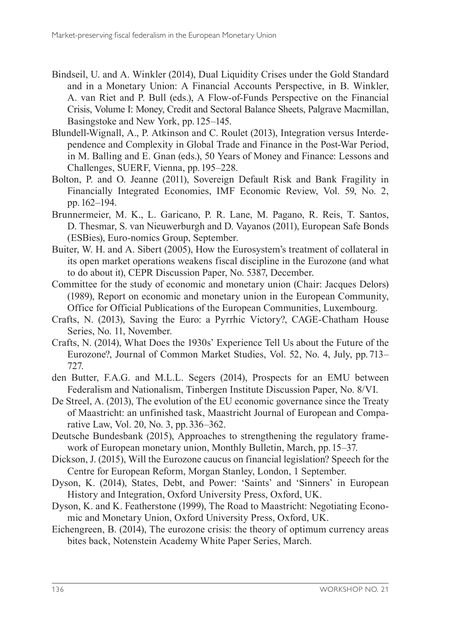- Bindseil, U. and A. Winkler (2014), Dual Liquidity Crises under the Gold Standard and in a Monetary Union: A Financial Accounts Perspective, in B. Winkler, A. van Riet and P. Bull (eds.), A Flow-of-Funds Perspective on the Financial Crisis, Volume I: Money, Credit and Sectoral Balance Sheets, Palgrave Macmillan, Basingstoke and New York, pp. 125–145.
- Blundell-Wignall, A., P. Atkinson and C. Roulet (2013), Integration versus Interdependence and Complexity in Global Trade and Finance in the Post-War Period, in M. Balling and E. Gnan (eds.), 50 Years of Money and Finance: Lessons and Challenges, SUERF, Vienna, pp. 195–228.
- Bolton, P. and O. Jeanne (2011), Sovereign Default Risk and Bank Fragility in Financially Integrated Economies, IMF Economic Review, Vol. 59, No. 2, pp. 162–194.
- Brunnermeier, M. K., L. Garicano, P. R. Lane, M. Pagano, R. Reis, T. Santos, D. Thesmar, S. van Nieuwerburgh and D. Vayanos (2011), European Safe Bonds (ESBies), Euro-nomics Group, September.
- Buiter, W. H. and A. Sibert (2005), How the Eurosystem's treatment of collateral in its open market operations weakens fiscal discipline in the Eurozone (and what to do about it), CEPR Discussion Paper, No. 5387, December.
- Committee for the study of economic and monetary union (Chair: Jacques Delors) (1989), Report on economic and monetary union in the European Community, Office for Official Publications of the European Communities, Luxembourg.
- Crafts, N. (2013), Saving the Euro: a Pyrrhic Victory?, CAGE-Chatham House Series, No. 11, November.
- Crafts, N. (2014), What Does the 1930s' Experience Tell Us about the Future of the Eurozone?, Journal of Common Market Studies, Vol. 52, No. 4, July, pp. 713– 727.
- den Butter, F.A.G. and M.L.L. Segers (2014), Prospects for an EMU between Federalism and Nationalism, Tinbergen Institute Discussion Paper, No. 8/VI.
- De Streel, A. (2013), The evolution of the EU economic governance since the Treaty of Maastricht: an unfinished task, Maastricht Journal of European and Comparative Law, Vol. 20, No. 3, pp. 336–362.
- Deutsche Bundesbank (2015), Approaches to strengthening the regulatory framework of European monetary union, Monthly Bulletin, March, pp. 15–37.
- Dickson, J. (2015), Will the Eurozone caucus on financial legislation? Speech for the Centre for European Reform, Morgan Stanley, London, 1 September.
- Dyson, K. (2014), States, Debt, and Power: 'Saints' and 'Sinners' in European History and Integration, Oxford University Press, Oxford, UK.
- Dyson, K. and K. Featherstone (1999), The Road to Maastricht: Negotiating Economic and Monetary Union, Oxford University Press, Oxford, UK.
- Eichengreen, B. (2014), The eurozone crisis: the theory of optimum currency areas bites back, Notenstein Academy White Paper Series, March.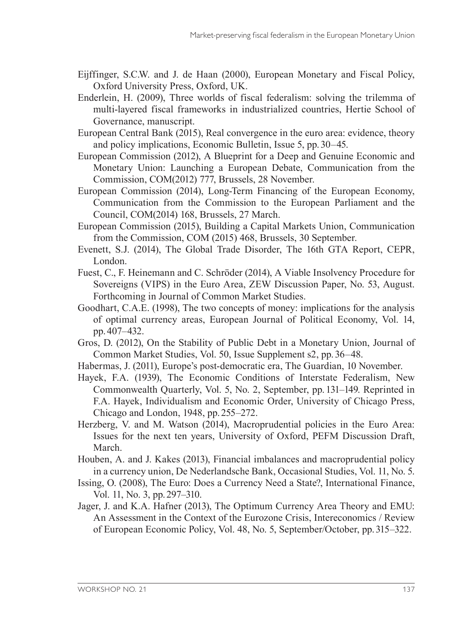- Eijffinger, S.C.W. and J. de Haan (2000), European Monetary and Fiscal Policy, Oxford University Press, Oxford, UK.
- Enderlein, H. (2009), Three worlds of fiscal federalism: solving the trilemma of multi-layered fiscal frameworks in industrialized countries, Hertie School of Governance, manuscript.
- European Central Bank (2015), Real convergence in the euro area: evidence, theory and policy implications, Economic Bulletin, Issue 5, pp. 30–45.
- European Commission (2012), A Blueprint for a Deep and Genuine Economic and Monetary Union: Launching a European Debate, Communication from the Commission, COM(2012) 777, Brussels, 28 November.
- European Commission (2014), Long-Term Financing of the European Economy, Communication from the Commission to the European Parliament and the Council, COM(2014) 168, Brussels, 27 March.
- European Commission (2015), Building a Capital Markets Union, Communication from the Commission, COM (2015) 468, Brussels, 30 September.
- Evenett, S.J. (2014), The Global Trade Disorder, The 16th GTA Report, CEPR, London.
- Fuest, C., F. Heinemann and C. Schröder (2014), A Viable Insolvency Procedure for Sovereigns (VIPS) in the Euro Area, ZEW Discussion Paper, No. 53, August. Forthcoming in Journal of Common Market Studies.
- Goodhart, C.A.E. (1998), The two concepts of money: implications for the analysis of optimal currency areas, European Journal of Political Economy, Vol. 14, pp. 407–432.
- Gros, D. (2012), On the Stability of Public Debt in a Monetary Union, Journal of Common Market Studies, Vol. 50, Issue Supplement s2, pp. 36–48.
- Habermas, J. (2011), Europe's post-democratic era, The Guardian, 10 November.
- Hayek, F.A. (1939), The Economic Conditions of Interstate Federalism, New Commonwealth Quarterly, Vol. 5, No. 2, September, pp. 131–149. Reprinted in F.A. Hayek, Individualism and Economic Order, University of Chicago Press, Chicago and London, 1948, pp. 255–272.
- Herzberg, V. and M. Watson (2014), Macroprudential policies in the Euro Area: Issues for the next ten years, University of Oxford, PEFM Discussion Draft, March.
- Houben, A. and J. Kakes (2013), Financial imbalances and macroprudential policy in a currency union, De Nederlandsche Bank, Occasional Studies, Vol. 11, No. 5.
- Issing, O. (2008), The Euro: Does a Currency Need a State?, International Finance, Vol. 11, No. 3, pp. 297–310.
- Jager, J. and K.A. Hafner (2013), The Optimum Currency Area Theory and EMU: An Assessment in the Context of the Eurozone Crisis, Intereconomics / Review of European Economic Policy, Vol. 48, No. 5, September/October, pp. 315–322.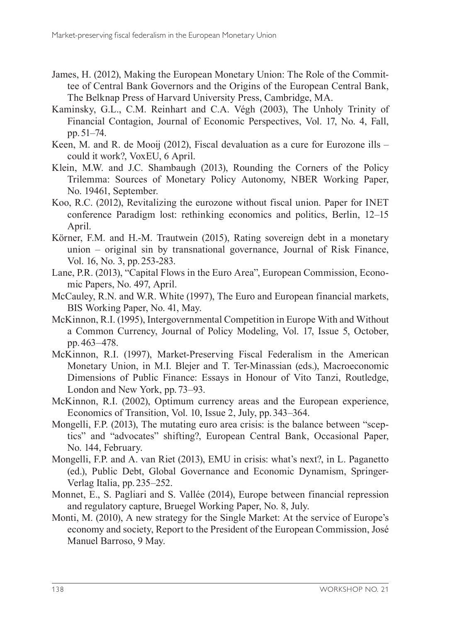- James, H. (2012), Making the European Monetary Union: The Role of the Committee of Central Bank Governors and the Origins of the European Central Bank, The Belknap Press of Harvard University Press, Cambridge, MA.
- Kaminsky, G.L., C.M. Reinhart and C.A. Végh (2003), The Unholy Trinity of Financial Contagion, Journal of Economic Perspectives, Vol. 17, No. 4, Fall, pp. 51–74.
- Keen, M. and R. de Mooij (2012), Fiscal devaluation as a cure for Eurozone ills could it work?, VoxEU, 6 April.
- Klein, M.W. and J.C. Shambaugh (2013), Rounding the Corners of the Policy Trilemma: Sources of Monetary Policy Autonomy, NBER Working Paper, No. 19461, September.
- Koo, R.C. (2012), Revitalizing the eurozone without fiscal union. Paper for INET conference Paradigm lost: rethinking economics and politics, Berlin, 12–15 April.
- Körner, F.M. and H.-M. Trautwein (2015), Rating sovereign debt in a monetary union – original sin by transnational governance, Journal of Risk Finance, Vol. 16, No. 3, pp. 253-283.
- Lane, P.R. (2013), "Capital Flows in the Euro Area", European Commission, Economic Papers, No. 497, April.
- McCauley, R.N. and W.R. White (1997), The Euro and European financial markets, BIS Working Paper, No. 41, May.
- McKinnon, R.I. (1995), Intergovernmental Competition in Europe With and Without a Common Currency, Journal of Policy Modeling, Vol. 17, Issue 5, October, pp. 463–478.
- McKinnon, R.I. (1997), Market-Preserving Fiscal Federalism in the American Monetary Union, in M.I. Blejer and T. Ter-Minassian (eds.), Macroeconomic Dimensions of Public Finance: Essays in Honour of Vito Tanzi, Routledge, London and New York, pp. 73–93.
- McKinnon, R.I. (2002), Optimum currency areas and the European experience, Economics of Transition, Vol. 10, Issue 2, July, pp. 343–364.
- Mongelli, F.P. (2013), The mutating euro area crisis: is the balance between "sceptics" and "advocates" shifting?, European Central Bank, Occasional Paper, No. 144, February.
- Mongelli, F.P. and A. van Riet (2013), EMU in crisis: what's next?, in L. Paganetto (ed.), Public Debt, Global Governance and Economic Dynamism, Springer-Verlag Italia, pp. 235–252.
- Monnet, E., S. Pagliari and S. Vallée (2014), Europe between financial repression and regulatory capture, Bruegel Working Paper, No. 8, July.
- Monti, M. (2010), A new strategy for the Single Market: At the service of Europe's economy and society, Report to the President of the European Commission, José Manuel Barroso, 9 May.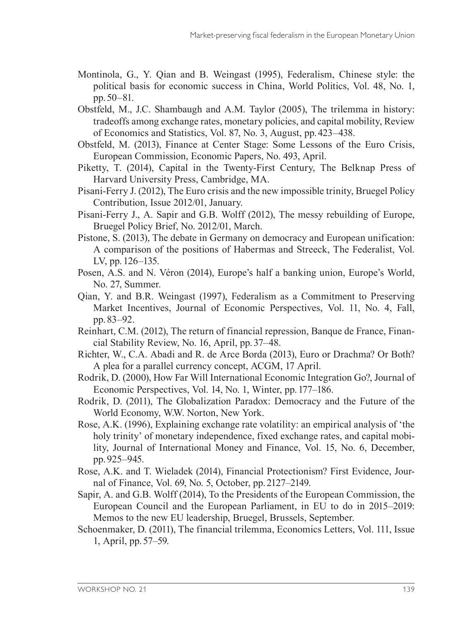- Montinola, G., Y. Qian and B. Weingast (1995), Federalism, Chinese style: the political basis for economic success in China, World Politics, Vol. 48, No. 1, pp. 50–81.
- Obstfeld, M., J.C. Shambaugh and A.M. Taylor (2005), The trilemma in history: tradeoffs among exchange rates, monetary policies, and capital mobility, Review of Economics and Statistics, Vol. 87, No. 3, August, pp. 423–438.
- Obstfeld, M. (2013), Finance at Center Stage: Some Lessons of the Euro Crisis, European Commission, Economic Papers, No. 493, April.
- Piketty, T. (2014), Capital in the Twenty-First Century, The Belknap Press of Harvard University Press, Cambridge, MA.
- Pisani-Ferry J. (2012), The Euro crisis and the new impossible trinity, Bruegel Policy Contribution, Issue 2012/01, January.
- Pisani-Ferry J., A. Sapir and G.B. Wolff (2012), The messy rebuilding of Europe, Bruegel Policy Brief, No. 2012/01, March.
- Pistone, S. (2013), The debate in Germany on democracy and European unification: A comparison of the positions of Habermas and Streeck, The Federalist, Vol. LV, pp. 126–135.
- Posen, A.S. and N. Véron (2014), Europe's half a banking union, Europe's World, No. 27, Summer.
- Qian, Y. and B.R. Weingast (1997), Federalism as a Commitment to Preserving Market Incentives, Journal of Economic Perspectives, Vol. 11, No. 4, Fall, pp. 83–92.
- Reinhart, C.M. (2012), The return of financial repression, Banque de France, Financial Stability Review, No. 16, April, pp. 37–48.
- Richter, W., C.A. Abadi and R. de Arce Borda (2013), Euro or Drachma? Or Both? A plea for a parallel currency concept, ACGM, 17 April.
- Rodrik, D. (2000), How Far Will International Economic Integration Go?, Journal of Economic Perspectives, Vol. 14, No. 1, Winter, pp. 177–186.
- Rodrik, D. (2011), The Globalization Paradox: Democracy and the Future of the World Economy, W.W. Norton, New York.
- Rose, A.K. (1996), Explaining exchange rate volatility: an empirical analysis of 'the holy trinity' of monetary independence, fixed exchange rates, and capital mobility, Journal of International Money and Finance, Vol. 15, No. 6, December, pp. 925–945.
- Rose, A.K. and T. Wieladek (2014), Financial Protectionism? First Evidence, Journal of Finance, Vol. 69, No. 5, October, pp. 2127–2149.
- Sapir, A. and G.B. Wolff (2014), To the Presidents of the European Commission, the European Council and the European Parliament, in EU to do in 2015–2019: Memos to the new EU leadership, Bruegel, Brussels, September.
- Schoenmaker, D. (2011), The financial trilemma, Economics Letters, Vol. 111, Issue 1, April, pp. 57–59.